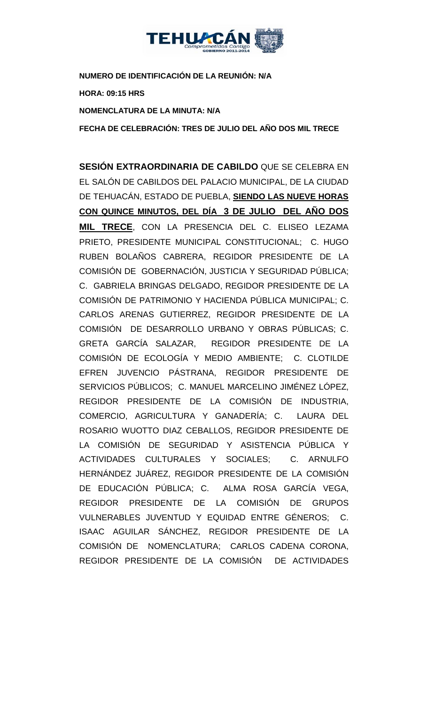

**NUMERO DE IDENTIFICACIÓN DE LA REUNIÓN: N/A HORA: 09:15 HRS NOMENCLATURA DE LA MINUTA: N/A**

**FECHA DE CELEBRACIÓN: TRES DE JULIO DEL AÑO DOS MIL TRECE** 

**SESIÓN EXTRAORDINARIA DE CABILDO** QUE SE CELEBRA EN EL SALÓN DE CABILDOS DEL PALACIO MUNICIPAL, DE LA CIUDAD DE TEHUACÁN, ESTADO DE PUEBLA, **SIENDO LAS NUEVE HORAS CON QUINCE MINUTOS, DEL DÍA 3 DE JULIO DEL AÑO DOS MIL TRECE**, CON LA PRESENCIA DEL C. ELISEO LEZAMA PRIETO, PRESIDENTE MUNICIPAL CONSTITUCIONAL; C. HUGO RUBEN BOLAÑOS CABRERA, REGIDOR PRESIDENTE DE LA COMISIÓN DE GOBERNACIÓN, JUSTICIA Y SEGURIDAD PÚBLICA; C. GABRIELA BRINGAS DELGADO, REGIDOR PRESIDENTE DE LA COMISIÓN DE PATRIMONIO Y HACIENDA PÚBLICA MUNICIPAL; C. CARLOS ARENAS GUTIERREZ, REGIDOR PRESIDENTE DE LA COMISIÓN DE DESARROLLO URBANO Y OBRAS PÚBLICAS; C. GRETA GARCÍA SALAZAR, REGIDOR PRESIDENTE DE LA COMISIÓN DE ECOLOGÍA Y MEDIO AMBIENTE; C. CLOTILDE EFREN JUVENCIO PÁSTRANA, REGIDOR PRESIDENTE DE SERVICIOS PÚBLICOS; C. MANUEL MARCELINO JIMÉNEZ LÓPEZ, REGIDOR PRESIDENTE DE LA COMISIÓN DE INDUSTRIA, COMERCIO, AGRICULTURA Y GANADERÍA; C. LAURA DEL ROSARIO WUOTTO DIAZ CEBALLOS, REGIDOR PRESIDENTE DE LA COMISIÓN DE SEGURIDAD Y ASISTENCIA PÚBLICA Y ACTIVIDADES CULTURALES Y SOCIALES; C. ARNULFO HERNÁNDEZ JUÁREZ, REGIDOR PRESIDENTE DE LA COMISIÓN DE EDUCACIÓN PÚBLICA; C. ALMA ROSA GARCÍA VEGA, REGIDOR PRESIDENTE DE LA COMISIÓN DE GRUPOS VULNERABLES JUVENTUD Y EQUIDAD ENTRE GÉNEROS; C. ISAAC AGUILAR SÁNCHEZ, REGIDOR PRESIDENTE DE LA COMISIÓN DE NOMENCLATURA; CARLOS CADENA CORONA, REGIDOR PRESIDENTE DE LA COMISIÓN DE ACTIVIDADES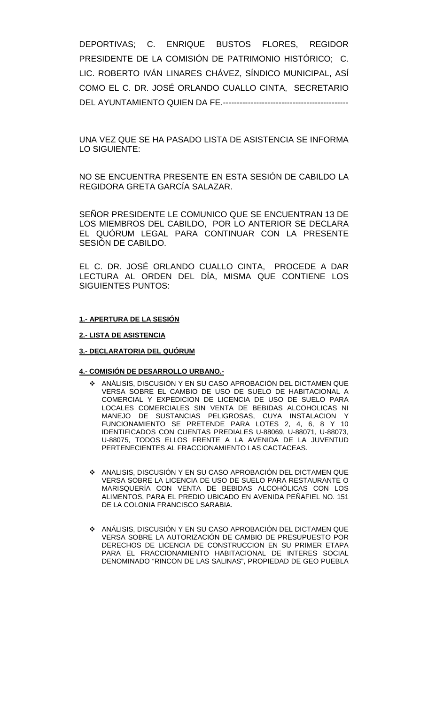DEPORTIVAS; C. ENRIQUE BUSTOS FLORES, REGIDOR PRESIDENTE DE LA COMISIÓN DE PATRIMONIO HISTÓRICO; C. LIC. ROBERTO IVÁN LINARES CHÁVEZ, SÍNDICO MUNICIPAL, ASÍ COMO EL C. DR. JOSÉ ORLANDO CUALLO CINTA, SECRETARIO DEL AYUNTAMIENTO QUIEN DA FE.---------------------------------------------

UNA VEZ QUE SE HA PASADO LISTA DE ASISTENCIA SE INFORMA LO SIGUIENTE:

NO SE ENCUENTRA PRESENTE EN ESTA SESIÓN DE CABILDO LA REGIDORA GRETA GARCÍA SALAZAR.

SEÑOR PRESIDENTE LE COMUNICO QUE SE ENCUENTRAN 13 DE LOS MIEMBROS DEL CABILDO, POR LO ANTERIOR SE DECLARA EL QUÓRUM LEGAL PARA CONTINUAR CON LA PRESENTE SESIÓN DE CABILDO.

EL C. DR. JOSÉ ORLANDO CUALLO CINTA, PROCEDE A DAR LECTURA AL ORDEN DEL DÍA, MISMA QUE CONTIENE LOS SIGUIENTES PUNTOS:

#### **1.- APERTURA DE LA SESIÓN**

#### **2.- LISTA DE ASISTENCIA**

#### **3.- DECLARATORIA DEL QUÓRUM**

#### **4.- COMISIÓN DE DESARROLLO URBANO.-**

- ANÁLISIS, DISCUSIÓN Y EN SU CASO APROBACIÓN DEL DICTAMEN QUE VERSA SOBRE EL CAMBIO DE USO DE SUELO DE HABITACIONAL A COMERCIAL Y EXPEDICION DE LICENCIA DE USO DE SUELO PARA LOCALES COMERCIALES SIN VENTA DE BEBIDAS ALCOHOLICAS NI MANEJO DE SUSTANCIAS PELIGROSAS, CUYA INSTALACION Y FUNCIONAMIENTO SE PRETENDE PARA LOTES 2, 4, 6, 8 Y 10 IDENTIFICADOS CON CUENTAS PREDIALES U-88069, U-88071, U-88073, U-88075, TODOS ELLOS FRENTE A LA AVENIDA DE LA JUVENTUD PERTENECIENTES AL FRACCIONAMIENTO LAS CACTACEAS.
- ANALISIS, DISCUSIÓN Y EN SU CASO APROBACIÓN DEL DICTAMEN QUE VERSA SOBRE LA LICENCIA DE USO DE SUELO PARA RESTAURANTE O MARISQUERÍA CON VENTA DE BEBIDAS ALCOHÓLICAS CON LOS ALIMENTOS, PARA EL PREDIO UBICADO EN AVENIDA PEÑAFIEL NO. 151 DE LA COLONIA FRANCISCO SARABIA.
- ANÁLISIS, DISCUSIÓN Y EN SU CASO APROBACIÓN DEL DICTAMEN QUE VERSA SOBRE LA AUTORIZACIÓN DE CAMBIO DE PRESUPUESTO POR DERECHOS DE LICENCIA DE CONSTRUCCION EN SU PRIMER ETAPA PARA EL FRACCIONAMIENTO HABITACIONAL DE INTERES SOCIAL DENOMINADO "RINCON DE LAS SALINAS", PROPIEDAD DE GEO PUEBLA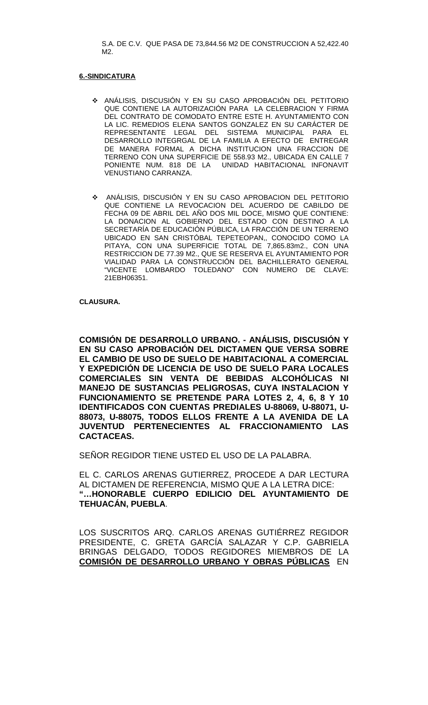S.A. DE C.V. QUE PASA DE 73,844.56 M2 DE CONSTRUCCION A 52,422.40 M2.

#### **6.-SINDICATURA**

- ANÁLISIS, DISCUSIÓN Y EN SU CASO APROBACIÓN DEL PETITORIO QUE CONTIENE LA AUTORIZACIÓN PARA LA CELEBRACION Y FIRMA DEL CONTRATO DE COMODATO ENTRE ESTE H. AYUNTAMIENTO CON LA LIC. REMEDIOS ELENA SANTOS GONZALEZ EN SU CARÁCTER DE REPRESENTANTE LEGAL DEL SISTEMA MUNICIPAL PARA EL DESARROLLO INTEGRGAL DE LA FAMILIA A EFECTO DE ENTREGAR DE MANERA FORMAL A DICHA INSTITUCION UNA FRACCION DE TERRENO CON UNA SUPERFICIE DE 558.93 M2., UBICADA EN CALLE 7 PONIENTE NUM. 818 DE LA UNIDAD HABITACIONAL INFONAVIT VENUSTIANO CARRANZA.
- ANÁLISIS, DISCUSIÓN Y EN SU CASO APROBACION DEL PETITORIO QUE CONTIENE LA REVOCACION DEL ACUERDO DE CABILDO DE FECHA 09 DE ABRIL DEL AÑO DOS MIL DOCE, MISMO QUE CONTIENE: LA DONACION AL GOBIERNO DEL ESTADO CON DESTINO A LA SECRETARÍA DE EDUCACIÓN PÚBLICA, LA FRACCIÓN DE UN TERRENO UBICADO EN SAN CRISTÓBAL TEPETEOPAN,, CONOCIDO COMO LA PITAYA, CON UNA SUPERFICIE TOTAL DE 7,865.83m2., CON UNA RESTRICCION DE 77.39 M2., QUE SE RESERVA EL AYUNTAMIENTO POR VIALIDAD PARA LA CONSTRUCCIÓN DEL BACHILLERATO GENERAL "VICENTE LOMBARDO TOLEDANO" CON NUMERO DE CLAVE: 21EBH06351.

#### **CLAUSURA.**

**COMISIÓN DE DESARROLLO URBANO. - ANÁLISIS, DISCUSIÓN Y EN SU CASO APROBACIÓN DEL DICTAMEN QUE VERSA SOBRE EL CAMBIO DE USO DE SUELO DE HABITACIONAL A COMERCIAL Y EXPEDICIÓN DE LICENCIA DE USO DE SUELO PARA LOCALES COMERCIALES SIN VENTA DE BEBIDAS ALCOHÓLICAS NI MANEJO DE SUSTANCIAS PELIGROSAS, CUYA INSTALACION Y FUNCIONAMIENTO SE PRETENDE PARA LOTES 2, 4, 6, 8 Y 10 IDENTIFICADOS CON CUENTAS PREDIALES U-88069, U-88071, U-88073, U-88075, TODOS ELLOS FRENTE A LA AVENIDA DE LA JUVENTUD PERTENECIENTES AL FRACCIONAMIENTO LAS CACTACEAS.**

SEÑOR REGIDOR TIENE USTED EL USO DE LA PALABRA.

EL C. CARLOS ARENAS GUTIERREZ, PROCEDE A DAR LECTURA AL DICTAMEN DE REFERENCIA, MISMO QUE A LA LETRA DICE: **"…HONORABLE CUERPO EDILICIO DEL AYUNTAMIENTO DE TEHUACÁN, PUEBLA**.

LOS SUSCRITOS ARQ. CARLOS ARENAS GUTIÉRREZ REGIDOR PRESIDENTE, C. GRETA GARCÍA SALAZAR Y C.P. GABRIELA BRINGAS DELGADO, TODOS REGIDORES MIEMBROS DE LA **COMISIÓN DE DESARROLLO URBANO Y OBRAS PÚBLICAS** EN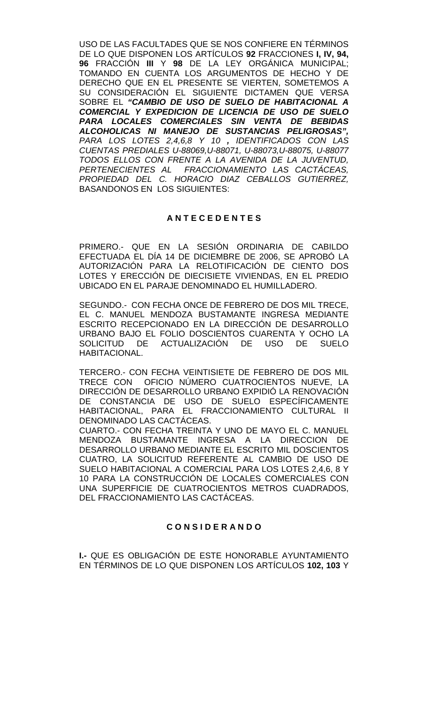USO DE LAS FACULTADES QUE SE NOS CONFIERE EN TÉRMINOS DE LO QUE DISPONEN LOS ARTÍCULOS **92** FRACCIONES **I, IV, 94, 96** FRACCIÓN **III** Y **98** DE LA LEY ORGÁNICA MUNICIPAL; TOMANDO EN CUENTA LOS ARGUMENTOS DE HECHO Y DE DERECHO QUE EN EL PRESENTE SE VIERTEN, SOMETEMOS A SU CONSIDERACIÓN EL SIGUIENTE DICTAMEN QUE VERSA SOBRE EL *"CAMBIO DE USO DE SUELO DE HABITACIONAL A COMERCIAL Y EXPEDICION DE LICENCIA DE USO DE SUELO PARA LOCALES COMERCIALES SIN VENTA DE BEBIDAS ALCOHOLICAS NI MANEJO DE SUSTANCIAS PELIGROSAS", PARA LOS LOTES 2,4,6,8 Y 10 , IDENTIFICADOS CON LAS CUENTAS PREDIALES U-88069,U-88071, U-88073,U-88075, U-88077 TODOS ELLOS CON FRENTE A LA AVENIDA DE LA JUVENTUD, PERTENECIENTES AL FRACCIONAMIENTO LAS CACTÁCEAS, PROPIEDAD DEL C. HORACIO DIAZ CEBALLOS GUTIERREZ,*  BASANDONOS EN LOS SIGUIENTES:

# **A N T E C E D E N T E S**

PRIMERO.- QUE EN LA SESIÓN ORDINARIA DE CABILDO EFECTUADA EL DÍA 14 DE DICIEMBRE DE 2006, SE APROBÓ LA AUTORIZACIÓN PARA LA RELOTIFICACIÓN DE CIENTO DOS LOTES Y ERECCIÓN DE DIECISIETE VIVIENDAS, EN EL PREDIO UBICADO EN EL PARAJE DENOMINADO EL HUMILLADERO.

SEGUNDO.- CON FECHA ONCE DE FEBRERO DE DOS MIL TRECE, EL C. MANUEL MENDOZA BUSTAMANTE INGRESA MEDIANTE ESCRITO RECEPCIONADO EN LA DIRECCIÓN DE DESARROLLO URBANO BAJO EL FOLIO DOSCIENTOS CUARENTA Y OCHO LA<br>SOLICITUD DE ACTUALIZACIÓN DE USO DE SUELO SOLICITUD DE ACTUALIZACIÓN DE USO DE HABITACIONAL.

TERCERO.- CON FECHA VEINTISIETE DE FEBRERO DE DOS MIL TRECE CON OFICIO NÚMERO CUATROCIENTOS NUEVE, LA DIRECCIÓN DE DESARROLLO URBANO EXPIDIÓ LA RENOVACIÓN DE CONSTANCIA DE USO DE SUELO ESPECÍFICAMENTE HABITACIONAL, PARA EL FRACCIONAMIENTO CULTURAL II DENOMINADO LAS CACTÁCEAS.

CUARTO.- CON FECHA TREINTA Y UNO DE MAYO EL C. MANUEL MENDOZA BUSTAMANTE INGRESA A LA DIRECCION DE DESARROLLO URBANO MEDIANTE EL ESCRITO MIL DOSCIENTOS CUATRO, LA SOLICITUD REFERENTE AL CAMBIO DE USO DE SUELO HABITACIONAL A COMERCIAL PARA LOS LOTES 2,4,6, 8 Y 10 PARA LA CONSTRUCCIÓN DE LOCALES COMERCIALES CON UNA SUPERFICIE DE CUATROCIENTOS METROS CUADRADOS, DEL FRACCIONAMIENTO LAS CACTÁCEAS.

## **C O N S I D E R A N D O**

**I.-** QUE ES OBLIGACIÓN DE ESTE HONORABLE AYUNTAMIENTO EN TÉRMINOS DE LO QUE DISPONEN LOS ARTÍCULOS **102, 103** Y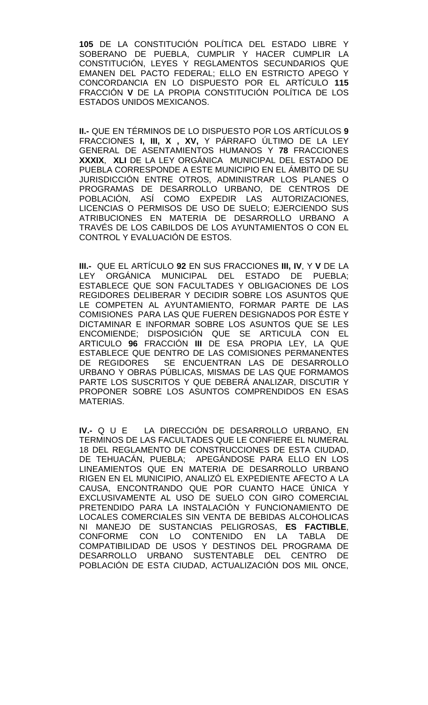**105** DE LA CONSTITUCIÓN POLÍTICA DEL ESTADO LIBRE Y SOBERANO DE PUEBLA, CUMPLIR Y HACER CUMPLIR LA CONSTITUCIÓN, LEYES Y REGLAMENTOS SECUNDARIOS QUE EMANEN DEL PACTO FEDERAL; ELLO EN ESTRICTO APEGO Y CONCORDANCIA EN LO DISPUESTO POR EL ARTÍCULO **115**  FRACCIÓN **V** DE LA PROPIA CONSTITUCIÓN POLÍTICA DE LOS ESTADOS UNIDOS MEXICANOS.

**II.-** QUE EN TÉRMINOS DE LO DISPUESTO POR LOS ARTÍCULOS **9**  FRACCIONES **I, III, X , XV,** Y PÁRRAFO ÚLTIMO DE LA LEY GENERAL DE ASENTAMIENTOS HUMANOS Y **78** FRACCIONES **XXXIX**, **XLI** DE LA LEY ORGÁNICA MUNICIPAL DEL ESTADO DE PUEBLA CORRESPONDE A ESTE MUNICIPIO EN EL ÁMBITO DE SU JURISDICCIÓN ENTRE OTROS, ADMINISTRAR LOS PLANES O PROGRAMAS DE DESARROLLO URBANO, DE CENTROS DE POBLACIÓN, ASÍ COMO EXPEDIR LAS AUTORIZACIONES, LICENCIAS O PERMISOS DE USO DE SUELO; EJERCIENDO SUS ATRIBUCIONES EN MATERIA DE DESARROLLO URBANO A TRAVÉS DE LOS CABILDOS DE LOS AYUNTAMIENTOS O CON EL CONTROL Y EVALUACIÓN DE ESTOS.

**III.-** QUE EL ARTÍCULO **92** EN SUS FRACCIONES **III, IV**, Y **V** DE LA LEY ORGÁNICA MUNICIPAL DEL ESTADO DE PUEBLA; ESTABLECE QUE SON FACULTADES Y OBLIGACIONES DE LOS REGIDORES DELIBERAR Y DECIDIR SOBRE LOS ASUNTOS QUE LE COMPETEN AL AYUNTAMIENTO, FORMAR PARTE DE LAS COMISIONES PARA LAS QUE FUEREN DESIGNADOS POR ÉSTE Y DICTAMINAR E INFORMAR SOBRE LOS ASUNTOS QUE SE LES ENCOMIENDE; DISPOSICIÓN QUE SE ARTICULA CON EL ARTICULO **96** FRACCIÓN **III** DE ESA PROPIA LEY, LA QUE ESTABLECE QUE DENTRO DE LAS COMISIONES PERMANENTES<br>DE REGIDORES SE ENCUENTRAN LAS DE DESARROLLO SE ENCUENTRAN LAS DE DESARROLLO URBANO Y OBRAS PÚBLICAS, MISMAS DE LAS QUE FORMAMOS PARTE LOS SUSCRITOS Y QUE DEBERÁ ANALIZAR, DISCUTIR Y PROPONER SOBRE LOS ASUNTOS COMPRENDIDOS EN ESAS MATERIAS.

**IV.-** Q U E LA DIRECCIÓN DE DESARROLLO URBANO, EN TERMINOS DE LAS FACULTADES QUE LE CONFIERE EL NUMERAL 18 DEL REGLAMENTO DE CONSTRUCCIONES DE ESTA CIUDAD, DE TEHUACÁN, PUEBLA; APEGÁNDOSE PARA ELLO EN LOS LINEAMIENTOS QUE EN MATERIA DE DESARROLLO URBANO RIGEN EN EL MUNICIPIO, ANALIZÓ EL EXPEDIENTE AFECTO A LA CAUSA, ENCONTRANDO QUE POR CUANTO HACE ÚNICA Y EXCLUSIVAMENTE AL USO DE SUELO CON GIRO COMERCIAL PRETENDIDO PARA LA INSTALACIÓN Y FUNCIONAMIENTO DE LOCALES COMERCIALES SIN VENTA DE BEBIDAS ALCOHOLICAS NI MANEJO DE SUSTANCIAS PELIGROSAS, **ES FACTIBLE**, CONFORME CON LO CONTENIDO EN LA TABLA DE COMPATIBILIDAD DE USOS Y DESTINOS DEL PROGRAMA DE DESARROLLO URBANO SUSTENTABLE DEL CENTRO DE POBLACIÓN DE ESTA CIUDAD, ACTUALIZACIÓN DOS MIL ONCE,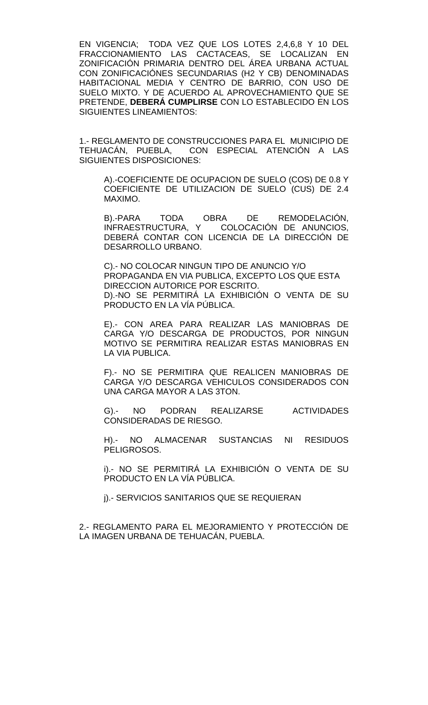EN VIGENCIA; TODA VEZ QUE LOS LOTES 2,4,6,8 Y 10 DEL FRACCIONAMIENTO LAS CACTACEAS, SE LOCALIZAN EN ZONIFICACIÓN PRIMARIA DENTRO DEL ÁREA URBANA ACTUAL CON ZONIFICACIÓNES SECUNDARIAS (H2 Y CB) DENOMINADAS HABITACIONAL MEDIA Y CENTRO DE BARRIO, CON USO DE SUELO MIXTO. Y DE ACUERDO AL APROVECHAMIENTO QUE SE PRETENDE, **DEBERÁ CUMPLIRSE** CON LO ESTABLECIDO EN LOS SIGUIENTES LINEAMIENTOS:

1.- REGLAMENTO DE CONSTRUCCIONES PARA EL MUNICIPIO DE TEHUACÁN, PUEBLA, CON ESPECIAL ATENCIÓN A LAS SIGUIENTES DISPOSICIONES:

A).-COEFICIENTE DE OCUPACION DE SUELO (COS) DE 0.8 Y COEFICIENTE DE UTILIZACION DE SUELO (CUS) DE 2.4 MAXIMO.

B).-PARA TODA OBRA DE REMODELACIÓN, INFRAESTRUCTURA, Y COLOCACIÓN DE ANUNCIOS, DEBERÁ CONTAR CON LICENCIA DE LA DIRECCIÓN DE DESARROLLO URBANO.

C).- NO COLOCAR NINGUN TIPO DE ANUNCIO Y/O PROPAGANDA EN VIA PUBLICA, EXCEPTO LOS QUE ESTA DIRECCION AUTORICE POR ESCRITO. D).-NO SE PERMITIRÁ LA EXHIBICIÓN O VENTA DE SU PRODUCTO EN LA VÍA PÚBLICA.

E).- CON AREA PARA REALIZAR LAS MANIOBRAS DE CARGA Y/O DESCARGA DE PRODUCTOS, POR NINGUN MOTIVO SE PERMITIRA REALIZAR ESTAS MANIOBRAS EN LA VIA PUBLICA.

F).- NO SE PERMITIRA QUE REALICEN MANIOBRAS DE CARGA Y/O DESCARGA VEHICULOS CONSIDERADOS CON UNA CARGA MAYOR A LAS 3TON.

G).- NO PODRAN REALIZARSE ACTIVIDADES CONSIDERADAS DE RIESGO.

H).- NO ALMACENAR SUSTANCIAS NI RESIDUOS PELIGROSOS.

i).- NO SE PERMITIRÁ LA EXHIBICIÓN O VENTA DE SU PRODUCTO EN LA VÍA PÚBLICA.

j).- SERVICIOS SANITARIOS QUE SE REQUIERAN

2.- REGLAMENTO PARA EL MEJORAMIENTO Y PROTECCIÓN DE LA IMAGEN URBANA DE TEHUACÁN, PUEBLA.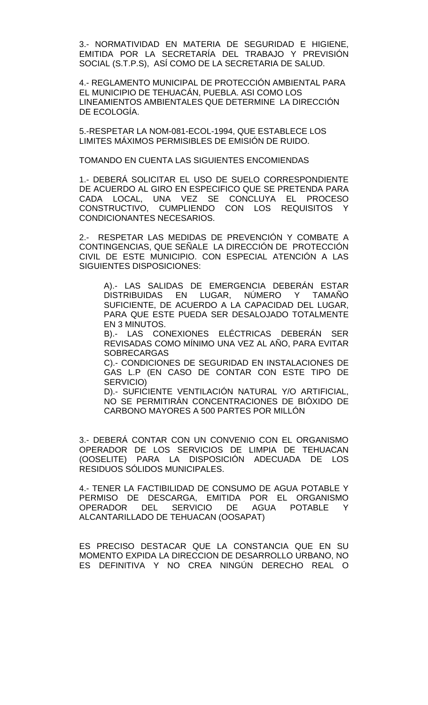3.- NORMATIVIDAD EN MATERIA DE SEGURIDAD E HIGIENE, EMITIDA POR LA SECRETARÍA DEL TRABAJO Y PREVISIÓN SOCIAL (S.T.P.S), ASÍ COMO DE LA SECRETARIA DE SALUD.

4.- REGLAMENTO MUNICIPAL DE PROTECCIÓN AMBIENTAL PARA EL MUNICIPIO DE TEHUACÁN, PUEBLA. ASI COMO LOS LINEAMIENTOS AMBIENTALES QUE DETERMINE LA DIRECCIÓN DE ECOLOGÍA.

5.-RESPETAR LA NOM-081-ECOL-1994, QUE ESTABLECE LOS LIMITES MÁXIMOS PERMISIBLES DE EMISIÓN DE RUIDO.

TOMANDO EN CUENTA LAS SIGUIENTES ENCOMIENDAS

1.- DEBERÁ SOLICITAR EL USO DE SUELO CORRESPONDIENTE DE ACUERDO AL GIRO EN ESPECIFICO QUE SE PRETENDA PARA CADA LOCAL, UNA VEZ SE CONCLUYA EL PROCESO CONSTRUCTIVO, CUMPLIENDO CON LOS REQUISITOS Y CONDICIONANTES NECESARIOS.

2.- RESPETAR LAS MEDIDAS DE PREVENCIÓN Y COMBATE A CONTINGENCIAS, QUE SEÑALE LA DIRECCIÓN DE PROTECCIÓN CIVIL DE ESTE MUNICIPIO. CON ESPECIAL ATENCIÓN A LAS SIGUIENTES DISPOSICIONES:

A).- LAS SALIDAS DE EMERGENCIA DEBERÁN ESTAR DISTRIBUIDAS EN LUGAR, NÚMERO Y TAMAÑO SUFICIENTE, DE ACUERDO A LA CAPACIDAD DEL LUGAR, PARA QUE ESTE PUEDA SER DESALOJADO TOTALMENTE EN 3 MINUTOS.

B).- LAS CONEXIONES ELÉCTRICAS DEBERÁN SER REVISADAS COMO MÍNIMO UNA VEZ AL AÑO, PARA EVITAR SOBRECARGAS

C).- CONDICIONES DE SEGURIDAD EN INSTALACIONES DE GAS L.P (EN CASO DE CONTAR CON ESTE TIPO DE SERVICIO)

D).- SUFICIENTE VENTILACIÓN NATURAL Y/O ARTIFICIAL, NO SE PERMITIRÁN CONCENTRACIONES DE BIÓXIDO DE CARBONO MAYORES A 500 PARTES POR MILLÓN

3.- DEBERÁ CONTAR CON UN CONVENIO CON EL ORGANISMO OPERADOR DE LOS SERVICIOS DE LIMPIA DE TEHUACAN (OOSELITE) PARA LA DISPOSICIÓN ADECUADA DE LOS RESIDUOS SÓLIDOS MUNICIPALES.

4.- TENER LA FACTIBILIDAD DE CONSUMO DE AGUA POTABLE Y PERMISO DE DESCARGA, EMITIDA POR EL ORGANISMO OPERADOR DEL SERVICIO DE AGUA POTABLE Y ALCANTARILLADO DE TEHUACAN (OOSAPAT)

ES PRECISO DESTACAR QUE LA CONSTANCIA QUE EN SU MOMENTO EXPIDA LA DIRECCION DE DESARROLLO URBANO, NO ES DEFINITIVA Y NO CREA NINGÚN DERECHO REAL O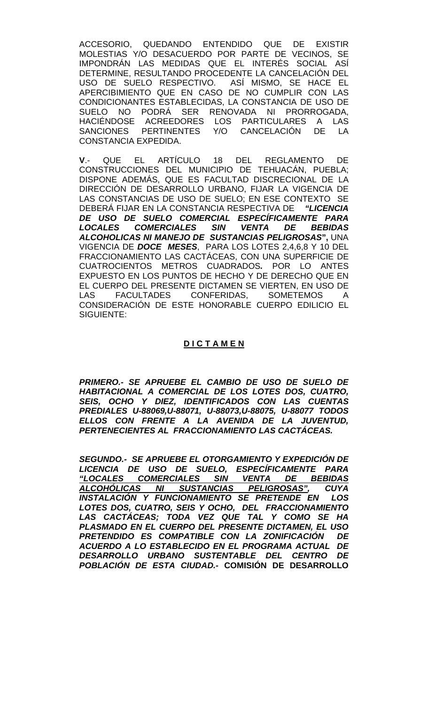ACCESORIO, QUEDANDO ENTENDIDO QUE DE EXISTIR MOLESTIAS Y/O DESACUERDO POR PARTE DE VECINOS, SE IMPONDRÁN LAS MEDIDAS QUE EL INTERÉS SOCIAL ASÍ DETERMINE, RESULTANDO PROCEDENTE LA CANCELACIÓN DEL USO DE SUELO RESPECTIVO. ASÍ MISMO, SE HACE EL APERCIBIMIENTO QUE EN CASO DE NO CUMPLIR CON LAS CONDICIONANTES ESTABLECIDAS, LA CONSTANCIA DE USO DE SUELO NO PODRÁ SER RENOVADA NI PRORROGADA, HACIÉNDOSE ACREEDORES LOS PARTICULARES A LAS SANCIONES PERTINENTES Y/O CANCELACIÓN DE LA CONSTANCIA EXPEDIDA.

**V**.- QUE EL ARTÍCULO 18 DEL REGLAMENTO DE CONSTRUCCIONES DEL MUNICIPIO DE TEHUACAN, PUEBLA; DISPONE ADEMÁS, QUE ES FACULTAD DISCRECIONAL DE LA DIRECCIÓN DE DESARROLLO URBANO, FIJAR LA VIGENCIA DE LAS CONSTANCIAS DE USO DE SUELO; EN ESE CONTEXTO SE DEBERÁ FIJAR EN LA CONSTANCIA RESPECTIVA DE *"LICENCIA DE USO DE SUELO COMERCIAL ESPECÍFICAMENTE PARA LOCALES COMERCIALES SIN VENTA DE BEBIDAS ALCOHOLICAS NI MANEJO DE SUSTANCIAS PELIGROSAS***",** UNA VIGENCIA DE *DOCE MESES*, PARA LOS LOTES 2,4,6,8 Y 10 DEL FRACCIONAMIENTO LAS CACTÁCEAS, CON UNA SUPERFICIE DE CUATROCIENTOS METROS CUADRADOS*.* POR LO ANTES EXPUESTO EN LOS PUNTOS DE HECHO Y DE DERECHO QUE EN EL CUERPO DEL PRESENTE DICTAMEN SE VIERTEN, EN USO DE LAS FACULTADES CONFERIDAS, SOMETEMOS A CONSIDERACIÓN DE ESTE HONORABLE CUERPO EDILICIO EL SIGUIENTE:

# **D I C T A M E N**

*PRIMERO.- SE APRUEBE EL CAMBIO DE USO DE SUELO DE HABITACIONAL A COMERCIAL DE LOS LOTES DOS, CUATRO, SEIS, OCHO Y DIEZ, IDENTIFICADOS CON LAS CUENTAS PREDIALES U-88069,U-88071, U-88073,U-88075, U-88077 TODOS ELLOS CON FRENTE A LA AVENIDA DE LA JUVENTUD, PERTENECIENTES AL FRACCIONAMIENTO LAS CACTÁCEAS.* 

*SEGUNDO.- SE APRUEBE EL OTORGAMIENTO Y EXPEDICIÓN DE LICENCIA DE USO DE SUELO, ESPECÍFICAMENTE PARA "LOCALES COMERCIALES SIN VENTA DE BEBIDAS ALCOHÓLICAS NI SUSTANCIAS PELIGROSAS", CUYA INSTALACIÓN Y FUNCIONAMIENTO SE PRETENDE EN LOS LOTES DOS, CUATRO, SEIS Y OCHO, DEL FRACCIONAMIENTO LAS CACTÁCEAS; TODA VEZ QUE TAL Y COMO SE HA PLASMADO EN EL CUERPO DEL PRESENTE DICTAMEN, EL USO*  PRETENDIDO ES COMPATIBLE CON LA ZONIFICACIÓN *ACUERDO A LO ESTABLECIDO EN EL PROGRAMA ACTUAL DE DESARROLLO URBANO SUSTENTABLE DEL CENTRO DE POBLACIÓN DE ESTA CIUDAD.-* **COMISIÓN DE DESARROLLO**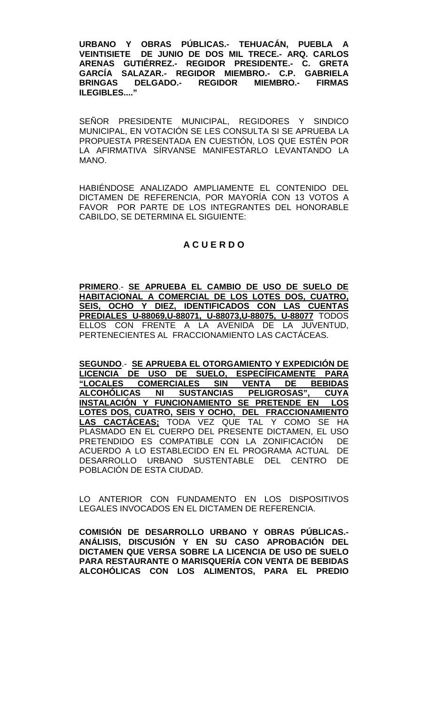**URBANO Y OBRAS PÚBLICAS.- TEHUACÁN, PUEBLA A VEINTISIETE DE JUNIO DE DOS MIL TRECE.- ARQ. CARLOS ARENAS GUTIÉRREZ.- REGIDOR PRESIDENTE.- C. GRETA GARCÍA SALAZAR.- REGIDOR MIEMBRO.- C.P. GABRIELA BRINGAS DELGADO.- REGIDOR MIEMBRO.- FIRMAS ILEGIBLES...."**

SEÑOR PRESIDENTE MUNICIPAL, REGIDORES Y SINDICO MUNICIPAL, EN VOTACIÓN SE LES CONSULTA SI SE APRUEBA LA PROPUESTA PRESENTADA EN CUESTIÓN, LOS QUE ESTÉN POR LA AFIRMATIVA SÍRVANSE MANIFESTARLO LEVANTANDO LA MANO.

HABIÉNDOSE ANALIZADO AMPLIAMENTE EL CONTENIDO DEL DICTAMEN DE REFERENCIA, POR MAYORÍA CON 13 VOTOS A FAVOR POR PARTE DE LOS INTEGRANTES DEL HONORABLE CABILDO, SE DETERMINA EL SIGUIENTE:

# **A C U E R D O**

**PRIMERO**.- **SE APRUEBA EL CAMBIO DE USO DE SUELO DE HABITACIONAL A COMERCIAL DE LOS LOTES DOS, CUATRO, SEIS, OCHO Y DIEZ, IDENTIFICADOS CON LAS CUENTAS PREDIALES U-88069,U-88071, U-88073,U-88075, U-88077** TODOS ELLOS CON FRENTE A LA AVENIDA DE LA JUVENTUD, PERTENECIENTES AL FRACCIONAMIENTO LAS CACTÁCEAS.

**SEGUNDO**.- **SE APRUEBA EL OTORGAMIENTO Y EXPEDICIÓN DE LICENCIA DE USO DE SUELO, ESPECÍFICAMENTE PARA "LOCALES COMERCIALES SIN VENTA DE BEBIDAS ALCOHÓLICAS NI SUSTANCIAS PELIGROSAS", CUYA INSTALACIÓN Y FUNCIONAMIENTO SE PRETENDE EN LOS LOTES DOS, CUATRO, SEIS Y OCHO, DEL FRACCIONAMIENTO LAS CACTÁCEAS;** TODA VEZ QUE TAL Y COMO SE HA PLASMADO EN EL CUERPO DEL PRESENTE DICTAMEN, EL USO PRETENDIDO ES COMPATIBLE CON LA ZONIFICACIÓN DE ACUERDO A LO ESTABLECIDO EN EL PROGRAMA ACTUAL DE DESARROLLO URBANO SUSTENTABLE DEL CENTRO DE POBLACIÓN DE ESTA CIUDAD.

LO ANTERIOR CON FUNDAMENTO EN LOS DISPOSITIVOS LEGALES INVOCADOS EN EL DICTAMEN DE REFERENCIA.

**COMISIÓN DE DESARROLLO URBANO Y OBRAS PÚBLICAS.- ANÁLISIS, DISCUSIÓN Y EN SU CASO APROBACIÓN DEL DICTAMEN QUE VERSA SOBRE LA LICENCIA DE USO DE SUELO PARA RESTAURANTE O MARISQUERÍA CON VENTA DE BEBIDAS ALCOHÓLICAS CON LOS ALIMENTOS, PARA EL PREDIO**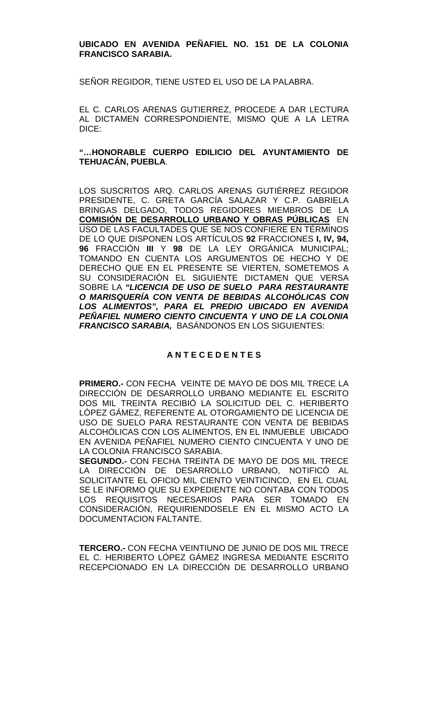## **UBICADO EN AVENIDA PEÑAFIEL NO. 151 DE LA COLONIA FRANCISCO SARABIA.**

SEÑOR REGIDOR, TIENE USTED EL USO DE LA PALABRA.

EL C. CARLOS ARENAS GUTIERREZ, PROCEDE A DAR LECTURA AL DICTAMEN CORRESPONDIENTE, MISMO QUE A LA LETRA DICE:

**"…HONORABLE CUERPO EDILICIO DEL AYUNTAMIENTO DE TEHUACÁN, PUEBLA**.

LOS SUSCRITOS ARQ. CARLOS ARENAS GUTIÉRREZ REGIDOR PRESIDENTE, C. GRETA GARCÍA SALAZAR Y C.P. GABRIELA BRINGAS DELGADO, TODOS REGIDORES MIEMBROS DE LA **COMISIÓN DE DESARROLLO URBANO Y OBRAS PÚBLICAS** EN USO DE LAS FACULTADES QUE SE NOS CONFIERE EN TÉRMINOS DE LO QUE DISPONEN LOS ARTÍCULOS **92** FRACCIONES **I, IV, 94, 96** FRACCIÓN **III** Y **98** DE LA LEY ORGÁNICA MUNICIPAL; TOMANDO EN CUENTA LOS ARGUMENTOS DE HECHO Y DE DERECHO QUE EN EL PRESENTE SE VIERTEN, SOMETEMOS A SU CONSIDERACIÓN EL SIGUIENTE DICTAMEN QUE VERSA SOBRE LA *"LICENCIA DE USO DE SUELO PARA RESTAURANTE O MARISQUERÍA CON VENTA DE BEBIDAS ALCOHÓLICAS CON LOS ALIMENTOS", PARA EL PREDIO UBICADO EN AVENIDA PEÑAFIEL NUMERO CIENTO CINCUENTA Y UNO DE LA COLONIA FRANCISCO SARABIA,* BASÁNDONOS EN LOS SIGUIENTES:

# **A N T E C E D E N T E S**

**PRIMERO.-** CON FECHA VEINTE DE MAYO DE DOS MIL TRECE LA DIRECCIÓN DE DESARROLLO URBANO MEDIANTE EL ESCRITO DOS MIL TREINTA RECIBIÓ LA SOLICITUD DEL C. HERIBERTO LÓPEZ GÁMEZ, REFERENTE AL OTORGAMIENTO DE LICENCIA DE USO DE SUELO PARA RESTAURANTE CON VENTA DE BEBIDAS ALCOHÓLICAS CON LOS ALIMENTOS, EN EL INMUEBLE UBICADO EN AVENIDA PEÑAFIEL NUMERO CIENTO CINCUENTA Y UNO DE LA COLONIA FRANCISCO SARABIA.

**SEGUNDO.-** CON FECHA TREINTA DE MAYO DE DOS MIL TRECE LA DIRECCIÓN DE DESARROLLO URBANO, NOTIFICÓ AL SOLICITANTE EL OFICIO MIL CIENTO VEINTICINCO, EN EL CUAL SE LE INFORMO QUE SU EXPEDIENTE NO CONTABA CON TODOS LOS REQUISITOS NECESARIOS PARA SER TOMADO EN CONSIDERACIÓN, REQUIRIENDOSELE EN EL MISMO ACTO LA DOCUMENTACION FALTANTE.

**TERCERO.-** CON FECHA VEINTIUNO DE JUNIO DE DOS MIL TRECE EL C. HERIBERTO LÓPEZ GÁMEZ INGRESA MEDIANTE ESCRITO RECEPCIONADO EN LA DIRECCIÓN DE DESARROLLO URBANO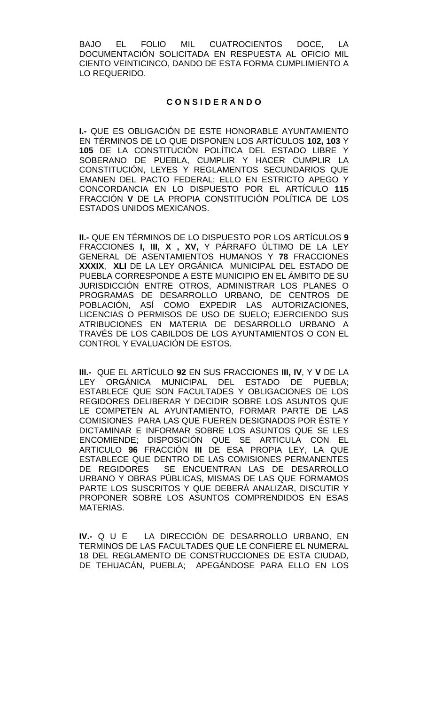BAJO EL FOLIO MIL CUATROCIENTOS DOCE, LA DOCUMENTACIÓN SOLICITADA EN RESPUESTA AL OFICIO MIL CIENTO VEINTICINCO, DANDO DE ESTA FORMA CUMPLIMIENTO A LO REQUERIDO.

## **C O N S I D E R A N D O**

**I.-** QUE ES OBLIGACIÓN DE ESTE HONORABLE AYUNTAMIENTO EN TÉRMINOS DE LO QUE DISPONEN LOS ARTÍCULOS **102, 103** Y **105** DE LA CONSTITUCIÓN POLÍTICA DEL ESTADO LIBRE Y SOBERANO DE PUEBLA, CUMPLIR Y HACER CUMPLIR LA CONSTITUCIÓN, LEYES Y REGLAMENTOS SECUNDARIOS QUE EMANEN DEL PACTO FEDERAL; ELLO EN ESTRICTO APEGO Y CONCORDANCIA EN LO DISPUESTO POR EL ARTÍCULO **115**  FRACCIÓN **V** DE LA PROPIA CONSTITUCIÓN POLÍTICA DE LOS ESTADOS UNIDOS MEXICANOS.

**II.-** QUE EN TÉRMINOS DE LO DISPUESTO POR LOS ARTÍCULOS **9**  FRACCIONES **I, III, X , XV,** Y PÁRRAFO ÚLTIMO DE LA LEY GENERAL DE ASENTAMIENTOS HUMANOS Y **78** FRACCIONES **XXXIX**, **XLI** DE LA LEY ORGÁNICA MUNICIPAL DEL ESTADO DE PUEBLA CORRESPONDE A ESTE MUNICIPIO EN EL ÁMBITO DE SU JURISDICCIÓN ENTRE OTROS, ADMINISTRAR LOS PLANES O PROGRAMAS DE DESARROLLO URBANO, DE CENTROS DE POBLACIÓN, ASÍ COMO EXPEDIR LAS AUTORIZACIONES, LICENCIAS O PERMISOS DE USO DE SUELO; EJERCIENDO SUS ATRIBUCIONES EN MATERIA DE DESARROLLO URBANO A TRAVÉS DE LOS CABILDOS DE LOS AYUNTAMIENTOS O CON EL CONTROL Y EVALUACIÓN DE ESTOS.

**III.-** QUE EL ARTÍCULO **92** EN SUS FRACCIONES **III, IV**, Y **V** DE LA LEY ORGÁNICA MUNICIPAL DEL ESTADO DE PUEBLA; ESTABLECE QUE SON FACULTADES Y OBLIGACIONES DE LOS REGIDORES DELIBERAR Y DECIDIR SOBRE LOS ASUNTOS QUE LE COMPETEN AL AYUNTAMIENTO, FORMAR PARTE DE LAS COMISIONES PARA LAS QUE FUEREN DESIGNADOS POR ÉSTE Y DICTAMINAR E INFORMAR SOBRE LOS ASUNTOS QUE SE LES ENCOMIENDE; DISPOSICIÓN QUE SE ARTICULA CON EL ARTICULO **96** FRACCIÓN **III** DE ESA PROPIA LEY, LA QUE ESTABLECE QUE DENTRO DE LAS COMISIONES PERMANENTES DE REGIDORES SE ENCUENTRAN LAS DE DESARROLLO URBANO Y OBRAS PÚBLICAS, MISMAS DE LAS QUE FORMAMOS PARTE LOS SUSCRITOS Y QUE DEBERÁ ANALIZAR, DISCUTIR Y PROPONER SOBRE LOS ASUNTOS COMPRENDIDOS EN ESAS MATERIAS.

**IV.-** Q U E LA DIRECCIÓN DE DESARROLLO URBANO, EN TERMINOS DE LAS FACULTADES QUE LE CONFIERE EL NUMERAL 18 DEL REGLAMENTO DE CONSTRUCCIONES DE ESTA CIUDAD, DE TEHUACÁN, PUEBLA; APEGÁNDOSE PARA ELLO EN LOS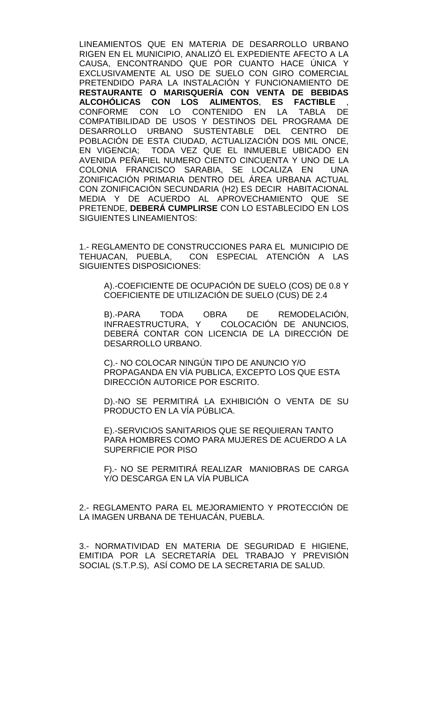LINEAMIENTOS QUE EN MATERIA DE DESARROLLO URBANO RIGEN EN EL MUNICIPIO, ANALIZÓ EL EXPEDIENTE AFECTO A LA CAUSA, ENCONTRANDO QUE POR CUANTO HACE ÚNICA Y EXCLUSIVAMENTE AL USO DE SUELO CON GIRO COMERCIAL PRETENDIDO PARA LA INSTALACIÓN Y FUNCIONAMIENTO DE **RESTAURANTE O MARISQUERÍA CON VENTA DE BEBIDAS ALCOHÓLICAS CON LOS ALIMENTOS**, **ES FACTIBLE** , CONFORME CON LO CONTENIDO EN LA TABLA DE COMPATIBILIDAD DE USOS Y DESTINOS DEL PROGRAMA DE DESARROLLO URBANO SUSTENTABLE DEL CENTRO DE POBLACIÓN DE ESTA CIUDAD, ACTUALIZACIÓN DOS MIL ONCE, EN VIGENCIA; TODA VEZ QUE EL INMUEBLE UBICADO EN AVENIDA PEÑAFIEL NUMERO CIENTO CINCUENTA Y UNO DE LA COLONIA FRANCISCO SARABIA, SE LOCALIZA EN UNA ZONIFICACIÓN PRIMARIA DENTRO DEL ÁREA URBANA ACTUAL CON ZONIFICACIÓN SECUNDARIA (H2) ES DECIR HABITACIONAL MEDIA Y DE ACUERDO AL APROVECHAMIENTO QUE SE PRETENDE, **DEBERÁ CUMPLIRSE** CON LO ESTABLECIDO EN LOS SIGUIENTES LINEAMIENTOS:

1.- REGLAMENTO DE CONSTRUCCIONES PARA EL MUNICIPIO DE TEHUACAN, PUEBLA, CON ESPECIAL ATENCIÓN A LAS SIGUIENTES DISPOSICIONES:

A).-COEFICIENTE DE OCUPACIÓN DE SUELO (COS) DE 0.8 Y COEFICIENTE DE UTILIZACIÓN DE SUELO (CUS) DE 2.4

B).-PARA TODA OBRA DE REMODELACIÓN,<br>INFRAESTRUCTURA, Y COLOCACIÓN—DE ANUNCIOS, COLOCACIÓN DE ANUNCIOS, DEBERÁ CONTAR CON LICENCIA DE LA DIRECCIÓN DE DESARROLLO URBANO.

C).- NO COLOCAR NINGÚN TIPO DE ANUNCIO Y/O PROPAGANDA EN VÍA PUBLICA, EXCEPTO LOS QUE ESTA DIRECCIÓN AUTORICE POR ESCRITO.

D).-NO SE PERMITIRÁ LA EXHIBICIÓN O VENTA DE SU PRODUCTO EN LA VÍA PÚBLICA.

E).-SERVICIOS SANITARIOS QUE SE REQUIERAN TANTO PARA HOMBRES COMO PARA MUJERES DE ACUERDO A LA SUPERFICIE POR PISO

F).- NO SE PERMITIRÁ REALIZAR MANIOBRAS DE CARGA Y/O DESCARGA EN LA VÍA PUBLICA

2.- REGLAMENTO PARA EL MEJORAMIENTO Y PROTECCIÓN DE LA IMAGEN URBANA DE TEHUACÁN, PUEBLA.

3.- NORMATIVIDAD EN MATERIA DE SEGURIDAD E HIGIENE, EMITIDA POR LA SECRETARÍA DEL TRABAJO Y PREVISIÓN SOCIAL (S.T.P.S), ASÍ COMO DE LA SECRETARIA DE SALUD.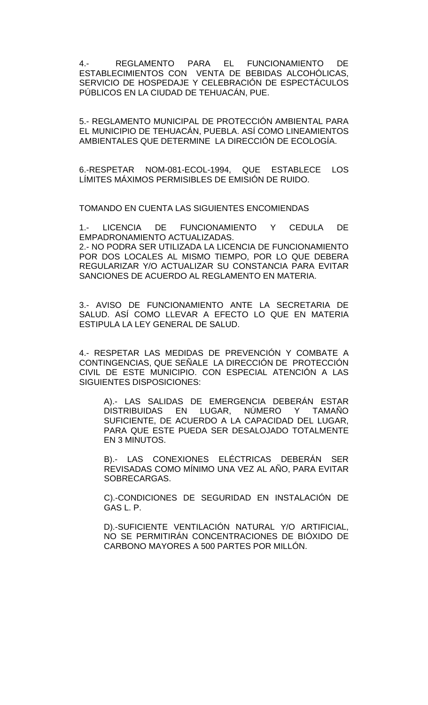4.- REGLAMENTO PARA EL FUNCIONAMIENTO DE ESTABLECIMIENTOS CON VENTA DE BEBIDAS ALCOHÓLICAS, SERVICIO DE HOSPEDAJE Y CELEBRACIÓN DE ESPECTÁCULOS PÚBLICOS EN LA CIUDAD DE TEHUACÁN, PUE.

5.- REGLAMENTO MUNICIPAL DE PROTECCIÓN AMBIENTAL PARA EL MUNICIPIO DE TEHUACÁN, PUEBLA. ASÍ COMO LINEAMIENTOS AMBIENTALES QUE DETERMINE LA DIRECCIÓN DE ECOLOGÍA.

6.-RESPETAR NOM-081-ECOL-1994, QUE ESTABLECE LOS LÍMITES MÁXIMOS PERMISIBLES DE EMISIÓN DE RUIDO.

TOMANDO EN CUENTA LAS SIGUIENTES ENCOMIENDAS

1.- LICENCIA DE FUNCIONAMIENTO Y CEDULA DE EMPADRONAMIENTO ACTUALIZADAS. 2.- NO PODRA SER UTILIZADA LA LICENCIA DE FUNCIONAMIENTO POR DOS LOCALES AL MISMO TIEMPO, POR LO QUE DEBERA REGULARIZAR Y/O ACTUALIZAR SU CONSTANCIA PARA EVITAR

SANCIONES DE ACUERDO AL REGLAMENTO EN MATERIA.

3.- AVISO DE FUNCIONAMIENTO ANTE LA SECRETARIA DE SALUD. ASÍ COMO LLEVAR A EFECTO LO QUE EN MATERIA ESTIPULA LA LEY GENERAL DE SALUD.

4.- RESPETAR LAS MEDIDAS DE PREVENCIÓN Y COMBATE A CONTINGENCIAS, QUE SEÑALE LA DIRECCIÓN DE PROTECCIÓN CIVIL DE ESTE MUNICIPIO. CON ESPECIAL ATENCIÓN A LAS SIGUIENTES DISPOSICIONES:

A).- LAS SALIDAS DE EMERGENCIA DEBERÁN ESTAR DISTRIBUIDAS EN LUGAR, NÚMERO Y TAMAÑO SUFICIENTE, DE ACUERDO A LA CAPACIDAD DEL LUGAR, PARA QUE ESTE PUEDA SER DESALOJADO TOTALMENTE EN 3 MINUTOS.

B).- LAS CONEXIONES ELÉCTRICAS DEBERÁN SER REVISADAS COMO MÍNIMO UNA VEZ AL AÑO, PARA EVITAR SOBRECARGAS.

C).-CONDICIONES DE SEGURIDAD EN INSTALACIÓN DE GAS L. P.

D).-SUFICIENTE VENTILACIÓN NATURAL Y/O ARTIFICIAL, NO SE PERMITIRÁN CONCENTRACIONES DE BIÓXIDO DE CARBONO MAYORES A 500 PARTES POR MILLÓN.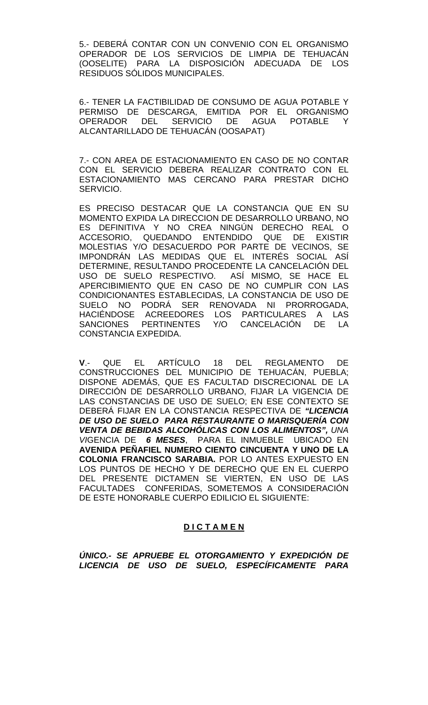5.- DEBERÁ CONTAR CON UN CONVENIO CON EL ORGANISMO OPERADOR DE LOS SERVICIOS DE LIMPIA DE TEHUACÁN (OOSELITE) PARA LA DISPOSICIÓN ADECUADA DE LOS RESIDUOS SÓLIDOS MUNICIPALES.

6.- TENER LA FACTIBILIDAD DE CONSUMO DE AGUA POTABLE Y PERMISO DE DESCARGA, EMITIDA POR EL ORGANISMO OPERADOR DEL SERVICIO DE AGUA POTABLE Y ALCANTARILLADO DE TEHUACÁN (OOSAPAT)

7.- CON AREA DE ESTACIONAMIENTO EN CASO DE NO CONTAR CON EL SERVICIO DEBERA REALIZAR CONTRATO CON EL ESTACIONAMIENTO MAS CERCANO PARA PRESTAR DICHO SERVICIO.

ES PRECISO DESTACAR QUE LA CONSTANCIA QUE EN SU MOMENTO EXPIDA LA DIRECCION DE DESARROLLO URBANO, NO ES DEFINITIVA Y NO CREA NINGÚN DERECHO REAL O ACCESORIO, QUEDANDO ENTENDIDO QUE DE EXISTIR MOLESTIAS Y/O DESACUERDO POR PARTE DE VECINOS, SE IMPONDRÁN LAS MEDIDAS QUE EL INTERÉS SOCIAL ASÍ DETERMINE, RESULTANDO PROCEDENTE LA CANCELACIÓN DEL USO DE SUELO RESPECTIVO. ASÍ MISMO, SE HACE EL APERCIBIMIENTO QUE EN CASO DE NO CUMPLIR CON LAS CONDICIONANTES ESTABLECIDAS, LA CONSTANCIA DE USO DE SUELO NO PODRÁ SER RENOVADA NI PRORROGADA, HACIÉNDOSE ACREEDORES LOS PARTICULARES A LAS SANCIONES PERTINENTES Y/O CANCELACIÓN DE LA CONSTANCIA EXPEDIDA.

**V**.- QUE EL ARTÍCULO 18 DEL REGLAMENTO DE CONSTRUCCIONES DEL MUNICIPIO DE TEHUACÁN, PUEBLA; DISPONE ADEMÁS, QUE ES FACULTAD DISCRECIONAL DE LA DIRECCIÓN DE DESARROLLO URBANO, FIJAR LA VIGENCIA DE LAS CONSTANCIAS DE USO DE SUELO; EN ESE CONTEXTO SE DEBERÁ FIJAR EN LA CONSTANCIA RESPECTIVA DE *"LICENCIA DE USO DE SUELO PARA RESTAURANTE O MARISQUERÍA CON VENTA DE BEBIDAS ALCOHÓLICAS CON LOS ALIMENTOS", UNA VI*GENCIA DE *6 MESES*, PARA EL INMUEBLE UBICADO EN **AVENIDA PEÑAFIEL NUMERO CIENTO CINCUENTA Y UNO DE LA COLONIA FRANCISCO SARABIA.** POR LO ANTES EXPUESTO EN LOS PUNTOS DE HECHO Y DE DERECHO QUE EN EL CUERPO DEL PRESENTE DICTAMEN SE VIERTEN, EN USO DE LAS FACULTADES CONFERIDAS, SOMETEMOS A CONSIDERACIÓN DE ESTE HONORABLE CUERPO EDILICIO EL SIGUIENTE:

# **D I C T A M E N**

*ÚNICO.- SE APRUEBE EL OTORGAMIENTO Y EXPEDICIÓN DE LICENCIA DE USO DE SUELO, ESPECÍFICAMENTE PARA*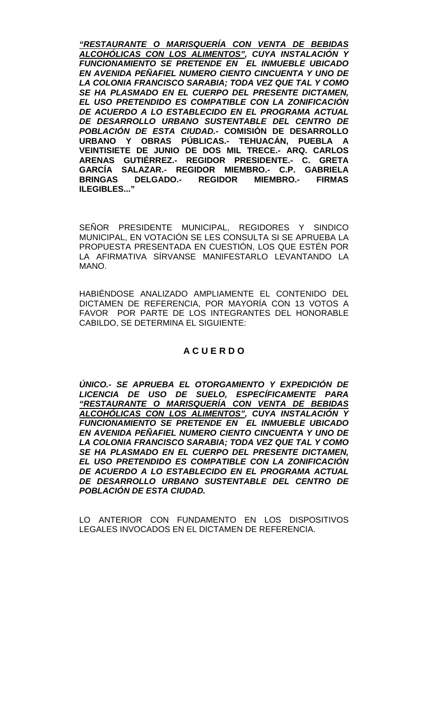*"RESTAURANTE O MARISQUERÍA CON VENTA DE BEBIDAS ALCOHÓLICAS CON LOS ALIMENTOS", CUYA INSTALACIÓN Y FUNCIONAMIENTO SE PRETENDE EN EL INMUEBLE UBICADO EN AVENIDA PEÑAFIEL NUMERO CIENTO CINCUENTA Y UNO DE LA COLONIA FRANCISCO SARABIA; TODA VEZ QUE TAL Y COMO SE HA PLASMADO EN EL CUERPO DEL PRESENTE DICTAMEN, EL USO PRETENDIDO ES COMPATIBLE CON LA ZONIFICACIÓN DE ACUERDO A LO ESTABLECIDO EN EL PROGRAMA ACTUAL DE DESARROLLO URBANO SUSTENTABLE DEL CENTRO DE POBLACIÓN DE ESTA CIUDAD.-* **COMISIÓN DE DESARROLLO URBANO Y OBRAS PÚBLICAS.- TEHUACÁN, PUEBLA A VEINTISIETE DE JUNIO DE DOS MIL TRECE.- ARQ. CARLOS ARENAS GUTIÉRREZ.- REGIDOR PRESIDENTE.- C. GRETA GARCÍA SALAZAR.- REGIDOR MIEMBRO.- C.P. GABRIELA BRINGAS DELGADO.- REGIDOR MIEMBRO.- FIRMAS ILEGIBLES..."**

SEÑOR PRESIDENTE MUNICIPAL, REGIDORES Y SINDICO MUNICIPAL, EN VOTACIÓN SE LES CONSULTA SI SE APRUEBA LA PROPUESTA PRESENTADA EN CUESTIÓN, LOS QUE ESTÉN POR LA AFIRMATIVA SÍRVANSE MANIFESTARLO LEVANTANDO LA MANO.

HABIÉNDOSE ANALIZADO AMPLIAMENTE EL CONTENIDO DEL DICTAMEN DE REFERENCIA, POR MAYORÍA CON 13 VOTOS A FAVOR POR PARTE DE LOS INTEGRANTES DEL HONORABLE CABILDO, SE DETERMINA EL SIGUIENTE:

# **A C U E R D O**

*ÚNICO.- SE APRUEBA EL OTORGAMIENTO Y EXPEDICIÓN DE LICENCIA DE USO DE SUELO, ESPECÍFICAMENTE PARA "RESTAURANTE O MARISQUERÍA CON VENTA DE BEBIDAS ALCOHÓLICAS CON LOS ALIMENTOS", CUYA INSTALACIÓN Y FUNCIONAMIENTO SE PRETENDE EN EL INMUEBLE UBICADO EN AVENIDA PEÑAFIEL NUMERO CIENTO CINCUENTA Y UNO DE LA COLONIA FRANCISCO SARABIA; TODA VEZ QUE TAL Y COMO SE HA PLASMADO EN EL CUERPO DEL PRESENTE DICTAMEN, EL USO PRETENDIDO ES COMPATIBLE CON LA ZONIFICACIÓN DE ACUERDO A LO ESTABLECIDO EN EL PROGRAMA ACTUAL DE DESARROLLO URBANO SUSTENTABLE DEL CENTRO DE POBLACIÓN DE ESTA CIUDAD.*

LO ANTERIOR CON FUNDAMENTO EN LOS DISPOSITIVOS LEGALES INVOCADOS EN EL DICTAMEN DE REFERENCIA.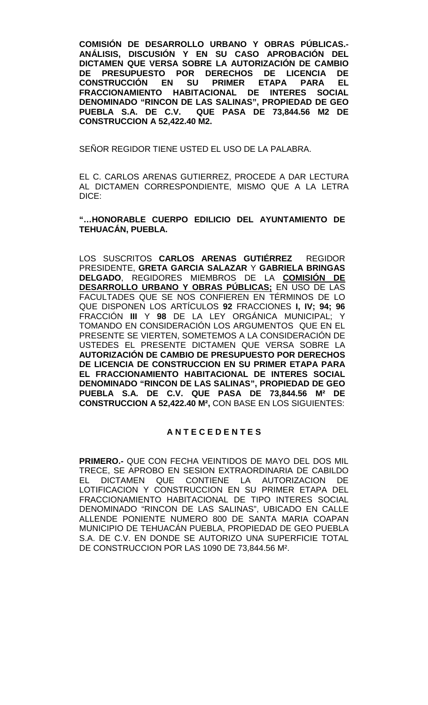**COMISIÓN DE DESARROLLO URBANO Y OBRAS PÚBLICAS.- ANÁLISIS, DISCUSIÓN Y EN SU CASO APROBACIÓN DEL DICTAMEN QUE VERSA SOBRE LA AUTORIZACIÓN DE CAMBIO PRESUPUESTO POR DERECHOS DE LICENCIA CONSTRUCCIÓN EN SU PRIMER ETAPA PARA EL FRACCIONAMIENTO HABITACIONAL DE INTERES SOCIAL DENOMINADO "RINCON DE LAS SALINAS", PROPIEDAD DE GEO PUEBLA S.A. DE C.V. QUE PASA DE 73,844.56 M2 DE CONSTRUCCION A 52,422.40 M2.** 

SEÑOR REGIDOR TIENE USTED EL USO DE LA PALABRA.

EL C. CARLOS ARENAS GUTIERREZ, PROCEDE A DAR LECTURA AL DICTAMEN CORRESPONDIENTE, MISMO QUE A LA LETRA DICE:

**"…HONORABLE CUERPO EDILICIO DEL AYUNTAMIENTO DE TEHUACÁN, PUEBLA.**

LOS SUSCRITOS **CARLOS ARENAS GUTIÉRREZ** REGIDOR PRESIDENTE, **GRETA GARCIA SALAZAR** Y **GABRIELA BRINGAS DELGADO**, REGIDORES MIEMBROS DE LA **COMISIÓN DE DESARROLLO URBANO Y OBRAS PÚBLICAS;** EN USO DE LAS FACULTADES QUE SE NOS CONFIEREN EN TÉRMINOS DE LO QUE DISPONEN LOS ARTÍCULOS **92** FRACCIONES **I, IV; 94; 96** FRACCIÓN **III** Y **98** DE LA LEY ORGÁNICA MUNICIPAL; Y TOMANDO EN CONSIDERACIÓN LOS ARGUMENTOS QUE EN EL PRESENTE SE VIERTEN, SOMETEMOS A LA CONSIDERACIÓN DE USTEDES EL PRESENTE DICTAMEN QUE VERSA SOBRE LA **AUTORIZACIÓN DE CAMBIO DE PRESUPUESTO POR DERECHOS DE LICENCIA DE CONSTRUCCION EN SU PRIMER ETAPA PARA EL FRACCIONAMIENTO HABITACIONAL DE INTERES SOCIAL DENOMINADO "RINCON DE LAS SALINAS", PROPIEDAD DE GEO PUEBLA S.A. DE C.V. QUE PASA DE 73,844.56 M² DE CONSTRUCCION A 52,422.40 M²,** CON BASE EN LOS SIGUIENTES:

#### **A N T E C E D E N T E S**

**PRIMERO.-** QUE CON FECHA VEINTIDOS DE MAYO DEL DOS MIL TRECE, SE APROBO EN SESION EXTRAORDINARIA DE CABILDO EL DICTAMEN QUE CONTIENE LA AUTORIZACION DE LOTIFICACION Y CONSTRUCCION EN SU PRIMER ETAPA DEL FRACCIONAMIENTO HABITACIONAL DE TIPO INTERES SOCIAL DENOMINADO "RINCON DE LAS SALINAS", UBICADO EN CALLE ALLENDE PONIENTE NUMERO 800 DE SANTA MARIA COAPAN MUNICIPIO DE TEHUACÁN PUEBLA, PROPIEDAD DE GEO PUEBLA S.A. DE C.V. EN DONDE SE AUTORIZO UNA SUPERFICIE TOTAL DE CONSTRUCCION POR LAS 1090 DE 73,844.56 M².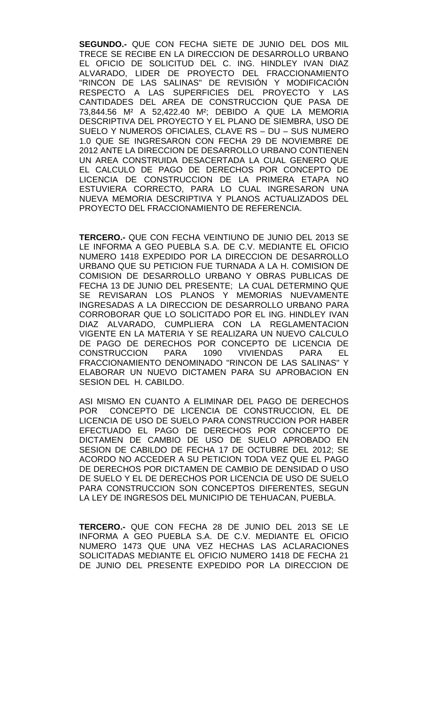**SEGUNDO.-** QUE CON FECHA SIETE DE JUNIO DEL DOS MIL TRECE SE RECIBE EN LA DIRECCION DE DESARROLLO URBANO EL OFICIO DE SOLICITUD DEL C. ING. HINDLEY IVAN DIAZ ALVARADO, LIDER DE PROYECTO DEL FRACCIONAMIENTO "RINCON DE LAS SALINAS" DE REVISIÓN Y MODIFICACIÓN RESPECTO A LAS SUPERFICIES DEL PROYECTO Y LAS CANTIDADES DEL AREA DE CONSTRUCCION QUE PASA DE 73,844.56 M² A 52,422.40 M²; DEBIDO A QUE LA MEMORIA DESCRIPTIVA DEL PROYECTO Y EL PLANO DE SIEMBRA, USO DE SUELO Y NUMEROS OFICIALES, CLAVE RS – DU – SUS NUMERO 1.0 QUE SE INGRESARON CON FECHA 29 DE NOVIEMBRE DE 2012 ANTE LA DIRECCION DE DESARROLLO URBANO CONTIENEN UN AREA CONSTRUIDA DESACERTADA LA CUAL GENERO QUE EL CALCULO DE PAGO DE DERECHOS POR CONCEPTO DE LICENCIA DE CONSTRUCCION DE LA PRIMERA ETAPA NO ESTUVIERA CORRECTO, PARA LO CUAL INGRESARON UNA NUEVA MEMORIA DESCRIPTIVA Y PLANOS ACTUALIZADOS DEL PROYECTO DEL FRACCIONAMIENTO DE REFERENCIA.

**TERCERO.-** QUE CON FECHA VEINTIUNO DE JUNIO DEL 2013 SE LE INFORMA A GEO PUEBLA S.A. DE C.V. MEDIANTE EL OFICIO NUMERO 1418 EXPEDIDO POR LA DIRECCION DE DESARROLLO URBANO QUE SU PETICION FUE TURNADA A LA H. COMISION DE COMISION DE DESARROLLO URBANO Y OBRAS PUBLICAS DE FECHA 13 DE JUNIO DEL PRESENTE; LA CUAL DETERMINO QUE SE REVISARAN LOS PLANOS Y MEMORIAS NUEVAMENTE INGRESADAS A LA DIRECCION DE DESARROLLO URBANO PARA CORROBORAR QUE LO SOLICITADO POR EL ING. HINDLEY IVAN DIAZ ALVARADO, CUMPLIERA CON LA REGLAMENTACION VIGENTE EN LA MATERIA Y SE REALIZARA UN NUEVO CALCULO DE PAGO DE DERECHOS POR CONCEPTO DE LICENCIA DE<br>CONSTRUCCION PARA 1090 VIVIENDAS PARA EL CONSTRUCCION PARA 1090 VIVIENDAS PARA EL FRACCIONAMIENTO DENOMINADO "RINCON DE LAS SALINAS" Y ELABORAR UN NUEVO DICTAMEN PARA SU APROBACION EN SESION DEL H. CABILDO.

ASI MISMO EN CUANTO A ELIMINAR DEL PAGO DE DERECHOS POR CONCEPTO DE LICENCIA DE CONSTRUCCION, EL DE LICENCIA DE USO DE SUELO PARA CONSTRUCCION POR HABER EFECTUADO EL PAGO DE DERECHOS POR CONCEPTO DE DICTAMEN DE CAMBIO DE USO DE SUELO APROBADO EN SESION DE CABILDO DE FECHA 17 DE OCTUBRE DEL 2012; SE ACORDO NO ACCEDER A SU PETICION TODA VEZ QUE EL PAGO DE DERECHOS POR DICTAMEN DE CAMBIO DE DENSIDAD O USO DE SUELO Y EL DE DERECHOS POR LICENCIA DE USO DE SUELO PARA CONSTRUCCION SON CONCEPTOS DIFERENTES, SEGUN LA LEY DE INGRESOS DEL MUNICIPIO DE TEHUACAN, PUEBLA.

**TERCERO.-** QUE CON FECHA 28 DE JUNIO DEL 2013 SE LE INFORMA A GEO PUEBLA S.A. DE C.V. MEDIANTE EL OFICIO NUMERO 1473 QUE UNA VEZ HECHAS LAS ACLARACIONES SOLICITADAS MEDIANTE EL OFICIO NUMERO 1418 DE FECHA 21 DE JUNIO DEL PRESENTE EXPEDIDO POR LA DIRECCION DE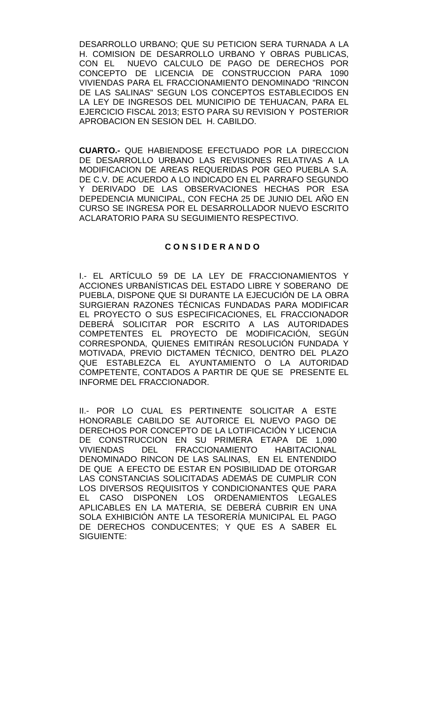DESARROLLO URBANO; QUE SU PETICION SERA TURNADA A LA H. COMISION DE DESARROLLO URBANO Y OBRAS PUBLICAS, CON EL NUEVO CALCULO DE PAGO DE DERECHOS POR CONCEPTO DE LICENCIA DE CONSTRUCCION PARA 1090 VIVIENDAS PARA EL FRACCIONAMIENTO DENOMINADO "RINCON DE LAS SALINAS" SEGUN LOS CONCEPTOS ESTABLECIDOS EN LA LEY DE INGRESOS DEL MUNICIPIO DE TEHUACAN, PARA EL EJERCICIO FISCAL 2013; ESTO PARA SU REVISION Y POSTERIOR APROBACION EN SESION DEL H. CABILDO.

**CUARTO.-** QUE HABIENDOSE EFECTUADO POR LA DIRECCION DE DESARROLLO URBANO LAS REVISIONES RELATIVAS A LA MODIFICACION DE AREAS REQUERIDAS POR GEO PUEBLA S.A. DE C.V. DE ACUERDO A LO INDICADO EN EL PARRAFO SEGUNDO Y DERIVADO DE LAS OBSERVACIONES HECHAS POR ESA DEPEDENCIA MUNICIPAL, CON FECHA 25 DE JUNIO DEL AÑO EN CURSO SE INGRESA POR EL DESARROLLADOR NUEVO ESCRITO ACLARATORIO PARA SU SEGUIMIENTO RESPECTIVO.

## **C O N S I D E R A N D O**

I.- EL ARTÍCULO 59 DE LA LEY DE FRACCIONAMIENTOS Y ACCIONES URBANÍSTICAS DEL ESTADO LIBRE Y SOBERANO DE PUEBLA, DISPONE QUE SI DURANTE LA EJECUCIÓN DE LA OBRA SURGIERAN RAZONES TÉCNICAS FUNDADAS PARA MODIFICAR EL PROYECTO O SUS ESPECIFICACIONES, EL FRACCIONADOR DEBERÁ SOLICITAR POR ESCRITO A LAS AUTORIDADES COMPETENTES EL PROYECTO DE MODIFICACIÓN, SEGÚN CORRESPONDA, QUIENES EMITIRÁN RESOLUCIÓN FUNDADA Y MOTIVADA, PREVIO DICTAMEN TÉCNICO, DENTRO DEL PLAZO QUE ESTABLEZCA EL AYUNTAMIENTO O LA AUTORIDAD COMPETENTE, CONTADOS A PARTIR DE QUE SE PRESENTE EL INFORME DEL FRACCIONADOR.

II.- POR LO CUAL ES PERTINENTE SOLICITAR A ESTE HONORABLE CABILDO SE AUTORICE EL NUEVO PAGO DE DERECHOS POR CONCEPTO DE LA LOTIFICACIÓN Y LICENCIA DE CONSTRUCCION EN SU PRIMERA ETAPA DE 1,090 VIVIENDAS DEL FRACCIONAMIENTO HABITACIONAL DENOMINADO RINCON DE LAS SALINAS, EN EL ENTENDIDO DE QUE A EFECTO DE ESTAR EN POSIBILIDAD DE OTORGAR LAS CONSTANCIAS SOLICITADAS ADEMÁS DE CUMPLIR CON LOS DIVERSOS REQUISITOS Y CONDICIONANTES QUE PARA EL CASO DISPONEN LOS ORDENAMIENTOS LEGALES APLICABLES EN LA MATERIA, SE DEBERÁ CUBRIR EN UNA SOLA EXHIBICIÓN ANTE LA TESORERÍA MUNICIPAL EL PAGO DE DERECHOS CONDUCENTES; Y QUE ES A SABER EL SIGUIENTE: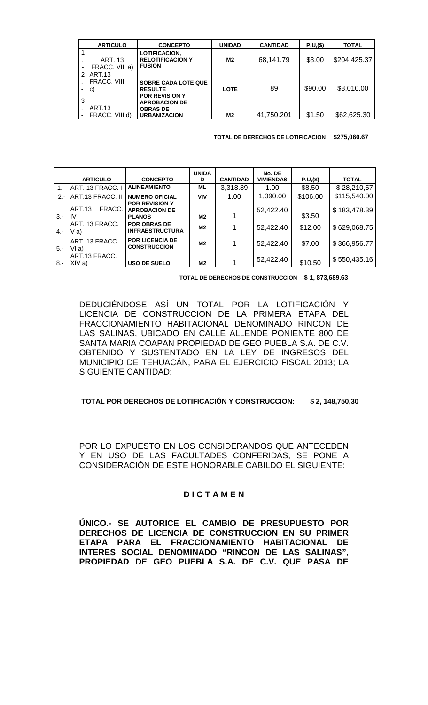|                               | <b>ARTICULO</b>                  | <b>CONCEPTO</b>                                                                         | <b>UNIDAD</b> | <b>CANTIDAD</b> | P.U,(\$) | <b>TOTAL</b> |
|-------------------------------|----------------------------------|-----------------------------------------------------------------------------------------|---------------|-----------------|----------|--------------|
|                               | <b>ART. 13</b><br>FRACC. VIII a) | <b>LOTIFICACION,</b><br><b>RELOTIFICACION Y</b><br><b>FUSION</b>                        | M2            | 68,141.79       | \$3.00   | \$204,425.37 |
| 2                             | ART.13                           |                                                                                         |               |                 |          |              |
|                               | FRACC, VIII                      | <b>SOBRE CADA LOTE QUE</b>                                                              |               |                 |          |              |
| $\overline{\phantom{0}}$      | C)                               | <b>RESULTE</b>                                                                          | <b>LOTE</b>   | 89              | \$90.00  | \$8,010.00   |
| 3<br>$\overline{\phantom{0}}$ | <b>ART.13</b><br>FRACC. VIII d)  | <b>POR REVISION Y</b><br><b>APROBACION DE</b><br><b>OBRAS DE</b><br><b>URBANIZACION</b> | M2            | 41,750.201      | \$1.50   | \$62,625.30  |

**TOTAL DE DERECHOS DE LOTIFICACION \$275,060.67**

|        |                               |                                                                | <b>UNIDA</b>   |                 | No. DE           |          |              |
|--------|-------------------------------|----------------------------------------------------------------|----------------|-----------------|------------------|----------|--------------|
|        | <b>ARTICULO</b>               | <b>CONCEPTO</b>                                                | D              | <b>CANTIDAD</b> | <b>VIVIENDAS</b> | P.U,(\$) | <b>TOTAL</b> |
| $1 -$  | ART. 13 FRACC. I              | <b>ALINEAMIENTO</b>                                            | <b>ML</b>      | 3,318.89        | 1.00             | \$8.50   | \$28,210,57  |
| $2 -$  | ART.13 FRACC. II              | <b>NUMERO OFICIAL</b>                                          | VIV            | 1.00            | 1,090.00         | \$106.00 | \$115,540.00 |
| $3 -$  | <b>ART.13</b><br>FRACC.<br>1V | <b>POR REVISION Y</b><br><b>APROBACION DE</b><br><b>PLANOS</b> | M <sub>2</sub> |                 | 52,422.40        | \$3.50   | \$183,478.39 |
| $4. -$ | ART. 13 FRACC.<br>V a)        | <b>POR OBRAS DE</b><br><b>INFRAESTRUCTURA</b>                  | M <sub>2</sub> |                 | 52,422.40        | \$12.00  | \$629,068.75 |
| $15 -$ | ART. 13 FRACC.<br>VI a)       | <b>POR LICENCIA DE</b><br><b>CONSTRUCCION</b>                  | M2             |                 | 52,422.40        | \$7.00   | \$366,956.77 |
| $8. -$ | ART.13 FRACC.<br>XIVa)        | <b>USO DE SUELO</b>                                            | M <sub>2</sub> |                 | 52,422.40        | \$10.50  | \$550,435.16 |

 **TOTAL DE DERECHOS DE CONSTRUCCION \$ 1, 873,689.63**

DEDUCIÉNDOSE ASÍ UN TOTAL POR LA LOTIFICACIÓN Y LICENCIA DE CONSTRUCCION DE LA PRIMERA ETAPA DEL FRACCIONAMIENTO HABITACIONAL DENOMINADO RINCON DE LAS SALINAS, UBICADO EN CALLE ALLENDE PONIENTE 800 DE SANTA MARIA COAPAN PROPIEDAD DE GEO PUEBLA S.A. DE C.V. OBTENIDO Y SUSTENTADO EN LA LEY DE INGRESOS DEL MUNICIPIO DE TEHUACÁN, PARA EL EJERCICIO FISCAL 2013; LA SIGUIENTE CANTIDAD:

#### **TOTAL POR DERECHOS DE LOTIFICACIÓN Y CONSTRUCCION: \$ 2, 148,750,30**

POR LO EXPUESTO EN LOS CONSIDERANDOS QUE ANTECEDEN Y EN USO DE LAS FACULTADES CONFERIDAS, SE PONE A CONSIDERACIÓN DE ESTE HONORABLE CABILDO EL SIGUIENTE:

#### **D I C T A M E N**

**ÚNICO.- SE AUTORICE EL CAMBIO DE PRESUPUESTO POR DERECHOS DE LICENCIA DE CONSTRUCCION EN SU PRIMER ETAPA PARA EL FRACCIONAMIENTO HABITACIONAL DE INTERES SOCIAL DENOMINADO "RINCON DE LAS SALINAS", PROPIEDAD DE GEO PUEBLA S.A. DE C.V. QUE PASA DE**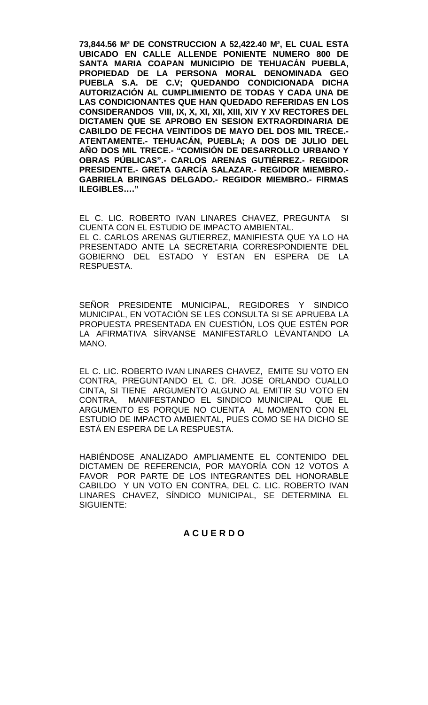**73,844.56 M² DE CONSTRUCCION A 52,422.40 M², EL CUAL ESTA UBICADO EN CALLE ALLENDE PONIENTE NUMERO 800 DE SANTA MARIA COAPAN MUNICIPIO DE TEHUACÁN PUEBLA, PROPIEDAD DE LA PERSONA MORAL DENOMINADA GEO PUEBLA S.A. DE C.V; QUEDANDO CONDICIONADA DICHA AUTORIZACIÓN AL CUMPLIMIENTO DE TODAS Y CADA UNA DE LAS CONDICIONANTES QUE HAN QUEDADO REFERIDAS EN LOS CONSIDERANDOS VIII, IX, X, XI, XII, XIII, XIV Y XV RECTORES DEL DICTAMEN QUE SE APROBO EN SESION EXTRAORDINARIA DE CABILDO DE FECHA VEINTIDOS DE MAYO DEL DOS MIL TRECE.- ATENTAMENTE.- TEHUACÁN, PUEBLA; A DOS DE JULIO DEL AÑO DOS MIL TRECE.- "COMISIÓN DE DESARROLLO URBANO Y OBRAS PÚBLICAS".- CARLOS ARENAS GUTIÉRREZ.- REGIDOR PRESIDENTE.- GRETA GARCÍA SALAZAR.- REGIDOR MIEMBRO.- GABRIELA BRINGAS DELGADO.- REGIDOR MIEMBRO.- FIRMAS ILEGIBLES…."**

EL C. LIC. ROBERTO IVAN LINARES CHAVEZ, PREGUNTA SI CUENTA CON EL ESTUDIO DE IMPACTO AMBIENTAL. EL C. CARLOS ARENAS GUTIERREZ, MANIFIESTA QUE YA LO HA PRESENTADO ANTE LA SECRETARIA CORRESPONDIENTE DEL GOBIERNO DEL ESTADO Y ESTAN EN ESPERA DE LA RESPUESTA.

SEÑOR PRESIDENTE MUNICIPAL, REGIDORES Y SINDICO MUNICIPAL, EN VOTACIÓN SE LES CONSULTA SI SE APRUEBA LA PROPUESTA PRESENTADA EN CUESTIÓN, LOS QUE ESTÉN POR LA AFIRMATIVA SÍRVANSE MANIFESTARLO LEVANTANDO LA MANO.

EL C. LIC. ROBERTO IVAN LINARES CHAVEZ, EMITE SU VOTO EN CONTRA, PREGUNTANDO EL C. DR. JOSE ORLANDO CUALLO CINTA, SI TIENE ARGUMENTO ALGUNO AL EMITIR SU VOTO EN MANIFESTANDO EL SINDICO MUNICIPAL QUE EL ARGUMENTO ES PORQUE NO CUENTA AL MOMENTO CON EL ESTUDIO DE IMPACTO AMBIENTAL, PUES COMO SE HA DICHO SE ESTÁ EN ESPERA DE LA RESPUESTA.

HABIÉNDOSE ANALIZADO AMPLIAMENTE EL CONTENIDO DEL DICTAMEN DE REFERENCIA, POR MAYORÍA CON 12 VOTOS A FAVOR POR PARTE DE LOS INTEGRANTES DEL HONORABLE CABILDO Y UN VOTO EN CONTRA, DEL C. LIC. ROBERTO IVAN LINARES CHAVEZ, SÍNDICO MUNICIPAL, SE DETERMINA EL SIGUIENTE:

# **A C U E R D O**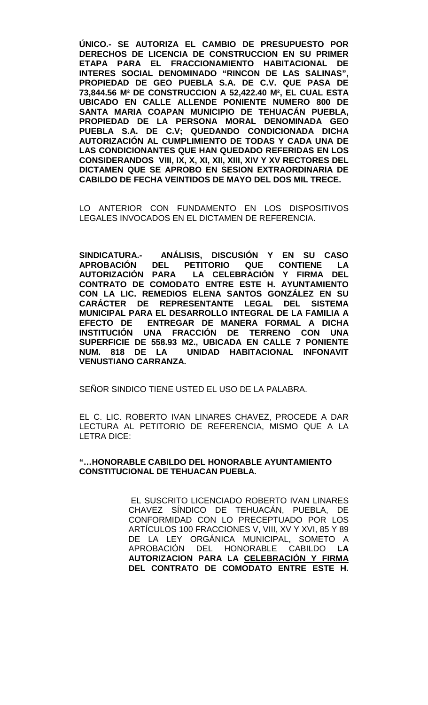**ÚNICO.- SE AUTORIZA EL CAMBIO DE PRESUPUESTO POR DERECHOS DE LICENCIA DE CONSTRUCCION EN SU PRIMER ETAPA PARA EL FRACCIONAMIENTO HABITACIONAL DE INTERES SOCIAL DENOMINADO "RINCON DE LAS SALINAS", PROPIEDAD DE GEO PUEBLA S.A. DE C.V. QUE PASA DE 73,844.56 M² DE CONSTRUCCION A 52,422.40 M², EL CUAL ESTA UBICADO EN CALLE ALLENDE PONIENTE NUMERO 800 DE SANTA MARIA COAPAN MUNICIPIO DE TEHUACÁN PUEBLA, PROPIEDAD DE LA PERSONA MORAL DENOMINADA GEO PUEBLA S.A. DE C.V; QUEDANDO CONDICIONADA DICHA AUTORIZACIÓN AL CUMPLIMIENTO DE TODAS Y CADA UNA DE LAS CONDICIONANTES QUE HAN QUEDADO REFERIDAS EN LOS CONSIDERANDOS VIII, IX, X, XI, XII, XIII, XIV Y XV RECTORES DEL DICTAMEN QUE SE APROBO EN SESION EXTRAORDINARIA DE CABILDO DE FECHA VEINTIDOS DE MAYO DEL DOS MIL TRECE.**

LO ANTERIOR CON FUNDAMENTO EN LOS DISPOSITIVOS LEGALES INVOCADOS EN EL DICTAMEN DE REFERENCIA.

**SINDICATURA.- ANÁLISIS, DISCUSIÓN Y EN SU CASO APROBACIÓN DEL PETITORIO<br>AUTORIZACIÓN PARA LA CELE LA CELEBRACIÓN Y FIRMA DEL CONTRATO DE COMODATO ENTRE ESTE H. AYUNTAMIENTO CON LA LIC. REMEDIOS ELENA SANTOS GONZÁLEZ EN SU CARÁCTER DE REPRESENTANTE LEGAL DEL SISTEMA MUNICIPAL PARA EL DESARROLLO INTEGRAL DE LA FAMILIA A EFECTO DE ENTREGAR DE MANERA FORMAL A DICHA INSTITUCIÓN UNA FRACCIÓN DE TERRENO CON UNA SUPERFICIE DE 558.93 M2., UBICADA EN CALLE 7 PONIENTE NUM. 818 DE LA UNIDAD HABITACIONAL INFONAVIT VENUSTIANO CARRANZA.**

SEÑOR SINDICO TIENE USTED EL USO DE LA PALABRA.

EL C. LIC. ROBERTO IVAN LINARES CHAVEZ, PROCEDE A DAR LECTURA AL PETITORIO DE REFERENCIA, MISMO QUE A LA LETRA DICE:

#### **"…HONORABLE CABILDO DEL HONORABLE AYUNTAMIENTO CONSTITUCIONAL DE TEHUACAN PUEBLA.**

EL SUSCRITO LICENCIADO ROBERTO IVAN LINARES CHAVEZ SÍNDICO DE TEHUACÁN, PUEBLA, DE CONFORMIDAD CON LO PRECEPTUADO POR LOS ARTÍCULOS 100 FRACCIONES V, VIII, XV Y XVI, 85 Y 89 DE LA LEY ORGÁNICA MUNICIPAL, SOMETO A APROBACIÓN DEL HONORABLE CABILDO **LA AUTORIZACION PARA LA CELEBRACIÓN Y FIRMA DEL CONTRATO DE COMODATO ENTRE ESTE H.**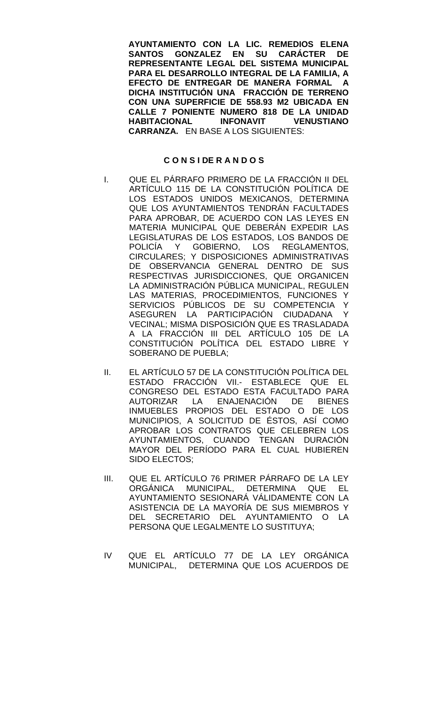**AYUNTAMIENTO CON LA LIC. REMEDIOS ELENA SANTOS GONZALEZ EN SU CARÁCTER DE REPRESENTANTE LEGAL DEL SISTEMA MUNICIPAL PARA EL DESARROLLO INTEGRAL DE LA FAMILIA, A EFECTO DE ENTREGAR DE MANERA FORMAL A DICHA INSTITUCIÓN UNA FRACCIÓN DE TERRENO CON UNA SUPERFICIE DE 558.93 M2 UBICADA EN CALLE 7 PONIENTE NUMERO 818 DE LA UNIDAD HABITACIONAL INFONAVIT VENUSTIANO CARRANZA.** EN BASE A LOS SIGUIENTES:

#### **C O N S I DE R A N D O S**

- I. QUE EL PÁRRAFO PRIMERO DE LA FRACCIÓN II DEL ARTÍCULO 115 DE LA CONSTITUCIÓN POLÍTICA DE LOS ESTADOS UNIDOS MEXICANOS, DETERMINA QUE LOS AYUNTAMIENTOS TENDRÁN FACULTADES PARA APROBAR, DE ACUERDO CON LAS LEYES EN MATERIA MUNICIPAL QUE DEBERÁN EXPEDIR LAS LEGISLATURAS DE LOS ESTADOS, LOS BANDOS DE POLICÍA Y GOBIERNO, LOS REGLAMENTOS, CIRCULARES; Y DISPOSICIONES ADMINISTRATIVAS DE OBSERVANCIA GENERAL DENTRO DE SUS RESPECTIVAS JURISDICCIONES, QUE ORGANICEN LA ADMINISTRACIÓN PÚBLICA MUNICIPAL, REGULEN LAS MATERIAS, PROCEDIMIENTOS, FUNCIONES Y SERVICIOS PÚBLICOS DE SU COMPETENCIA Y ASEGUREN LA PARTICIPACIÓN CIUDADANA Y VECINAL; MISMA DISPOSICIÓN QUE ES TRASLADADA A LA FRACCIÓN III DEL ARTÍCULO 105 DE LA CONSTITUCIÓN POLÍTICA DEL ESTADO LIBRE Y SOBERANO DE PUEBLA;
- II. EL ARTÍCULO 57 DE LA CONSTITUCIÓN POLÍTICA DEL ESTADO FRACCIÓN VII.- ESTABLECE QUE EL CONGRESO DEL ESTADO ESTA FACULTADO PARA<br>AUTORIZAR LA ENAJENACIÓN DE BIENES AUTORIZAR LA ENAJENACIÓN DE BIENES INMUEBLES PROPIOS DEL ESTADO O DE LOS MUNICIPIOS, A SOLICITUD DE ÉSTOS, ASÍ COMO APROBAR LOS CONTRATOS QUE CELEBREN LOS AYUNTAMIENTOS, CUANDO TENGAN DURACIÓN MAYOR DEL PERÍODO PARA EL CUAL HUBIEREN SIDO ELECTOS;
- III. QUE EL ARTÍCULO 76 PRIMER PÁRRAFO DE LA LEY ORGÁNICA MUNICIPAL, DETERMINA QUE EL AYUNTAMIENTO SESIONARÁ VÁLIDAMENTE CON LA ASISTENCIA DE LA MAYORÍA DE SUS MIEMBROS Y DEL SECRETARIO DEL AYUNTAMIENTO O LA PERSONA QUE LEGALMENTE LO SUSTITUYA;
- IV QUE EL ARTÍCULO 77 DE LA LEY ORGÁNICA MUNICIPAL, DETERMINA QUE LOS ACUERDOS DE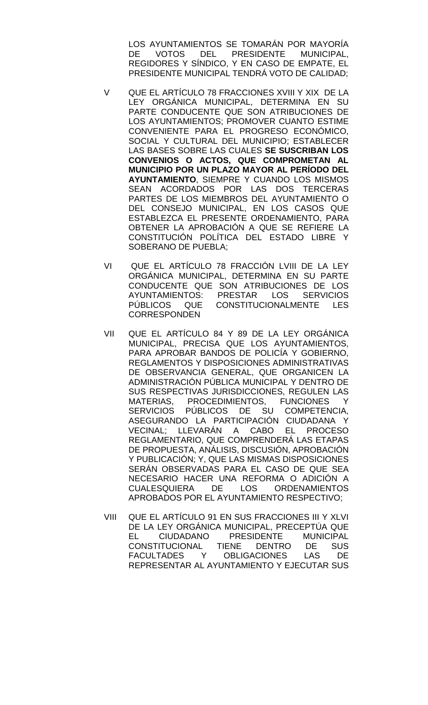LOS AYUNTAMIENTOS SE TOMARÁN POR MAYORÍA DE VOTOS DEL PRESIDENTE MUNICIPAL, REGIDORES Y SÍNDICO, Y EN CASO DE EMPATE, EL PRESIDENTE MUNICIPAL TENDRÁ VOTO DE CALIDAD;

- V QUE EL ARTÍCULO 78 FRACCIONES XVIII Y XIX DE LA LEY ORGÁNICA MUNICIPAL, DETERMINA EN SU PARTE CONDUCENTE QUE SON ATRIBUCIONES DE LOS AYUNTAMIENTOS; PROMOVER CUANTO ESTIME CONVENIENTE PARA EL PROGRESO ECONÓMICO, SOCIAL Y CULTURAL DEL MUNICIPIO; ESTABLECER LAS BASES SOBRE LAS CUALES **SE SUSCRIBAN LOS CONVENIOS O ACTOS, QUE COMPROMETAN AL MUNICIPIO POR UN PLAZO MAYOR AL PERÍODO DEL AYUNTAMIENTO**, SIEMPRE Y CUANDO LOS MISMOS SEAN ACORDADOS POR LAS DOS TERCERAS PARTES DE LOS MIEMBROS DEL AYUNTAMIENTO O DEL CONSEJO MUNICIPAL, EN LOS CASOS QUE ESTABLEZCA EL PRESENTE ORDENAMIENTO, PARA OBTENER LA APROBACIÓN A QUE SE REFIERE LA CONSTITUCIÓN POLÍTICA DEL ESTADO LIBRE Y SOBERANO DE PUEBLA;
- VI QUE EL ARTÍCULO 78 FRACCIÓN LVIII DE LA LEY ORGÁNICA MUNICIPAL, DETERMINA EN SU PARTE CONDUCENTE QUE SON ATRIBUCIONES DE LOS AYUNTAMIENTOS: PRESTAR LOS SERVICIOS PÚBLICOS QUE CONSTITUCIONALMENTE LES **CORRESPONDEN**
- VII QUE EL ARTÍCULO 84 Y 89 DE LA LEY ORGÁNICA MUNICIPAL, PRECISA QUE LOS AYUNTAMIENTOS, PARA APROBAR BANDOS DE POLICÍA Y GOBIERNO, REGLAMENTOS Y DISPOSICIONES ADMINISTRATIVAS DE OBSERVANCIA GENERAL, QUE ORGANICEN LA ADMINISTRACIÓN PÚBLICA MUNICIPAL Y DENTRO DE SUS RESPECTIVAS JURISDICCIONES, REGULEN LAS MATERIAS, PROCEDIMIENTOS, FUNCIONES Y SERVICIOS PÚBLICOS DE SU COMPETENCIA, ASEGURANDO LA PARTICIPACIÓN CIUDADANA Y VECINAL; LLEVARÁN A CABO EL PROCESO REGLAMENTARIO, QUE COMPRENDERÁ LAS ETAPAS DE PROPUESTA, ANÁLISIS, DISCUSIÓN, APROBACIÓN Y PUBLICACIÓN; Y, QUE LAS MISMAS DISPOSICIONES SERÁN OBSERVADAS PARA EL CASO DE QUE SEA NECESARIO HACER UNA REFORMA O ADICIÓN A CUALESQUIERA DE LOS ORDENAMIENTOS APROBADOS POR EL AYUNTAMIENTO RESPECTIVO;
- VIII QUE EL ARTÍCULO 91 EN SUS FRACCIONES III Y XLVI DE LA LEY ORGÁNICA MUNICIPAL, PRECEPTÚA QUE<br>EL CIUDADANO PRESIDENTE MUNICIPAL EL CIUDADANO PRESIDENTE CONSTITUCIONAL TIENE DENTRO DE SUS FACULTADES Y OBLIGACIONES LAS DE REPRESENTAR AL AYUNTAMIENTO Y EJECUTAR SUS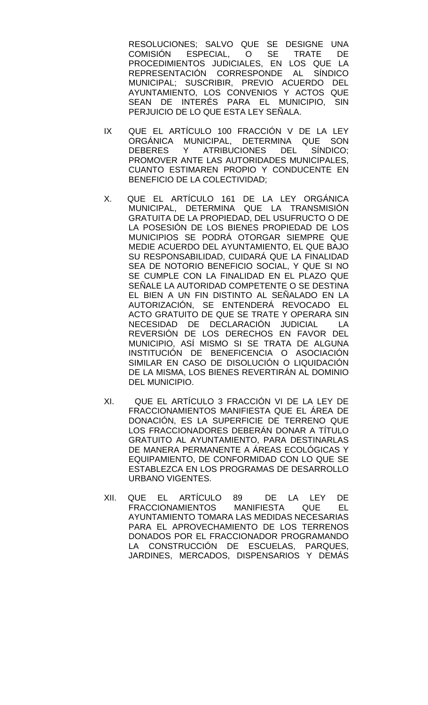RESOLUCIONES; SALVO QUE SE DESIGNE UNA<br>COMISIÓN ESPECIAL, O SE TRATE DE ESPECIAL, O SE TRATE DE PROCEDIMIENTOS JUDICIALES, EN LOS QUE LA REPRESENTACIÓN CORRESPONDE AL SÍNDICO MUNICIPAL; SUSCRIBIR, PREVIO ACUERDO DEL AYUNTAMIENTO, LOS CONVENIOS Y ACTOS QUE SEAN DE INTERÉS PARA EL MUNICIPIO, SIN PERJUICIO DE LO QUE ESTA LEY SEÑALA.

- IX QUE EL ARTÍCULO 100 FRACCIÓN V DE LA LEY ORGÁNICA MUNICIPAL, DETERMINA QUE SON<br>DEBERES Y ATRIBUCIONES DEL SÍNDICO: DEBERES Y ATRIBUCIONES PROMOVER ANTE LAS AUTORIDADES MUNICIPALES, CUANTO ESTIMAREN PROPIO Y CONDUCENTE EN BENEFICIO DE LA COLECTIVIDAD;
- X. QUE EL ARTÍCULO 161 DE LA LEY ORGÁNICA MUNICIPAL, DETERMINA QUE LA TRANSMISIÓN GRATUITA DE LA PROPIEDAD, DEL USUFRUCTO O DE LA POSESIÓN DE LOS BIENES PROPIEDAD DE LOS MUNICIPIOS SE PODRÁ OTORGAR SIEMPRE QUE MEDIE ACUERDO DEL AYUNTAMIENTO, EL QUE BAJO SU RESPONSABILIDAD, CUIDARÁ QUE LA FINALIDAD SEA DE NOTORIO BENEFICIO SOCIAL, Y QUE SI NO SE CUMPLE CON LA FINALIDAD EN EL PLAZO QUE SEÑALE LA AUTORIDAD COMPETENTE O SE DESTINA EL BIEN A UN FIN DISTINTO AL SEÑALADO EN LA AUTORIZACIÓN, SE ENTENDERÁ REVOCADO EL ACTO GRATUITO DE QUE SE TRATE Y OPERARA SIN NECESIDAD DE DECLARACIÓN JUDICIAL LA REVERSIÓN DE LOS DERECHOS EN FAVOR DEL MUNICIPIO, ASÍ MISMO SI SE TRATA DE ALGUNA INSTITUCIÓN DE BENEFICENCIA O ASOCIACIÓN SIMILAR EN CASO DE DISOLUCIÓN O LIQUIDACIÓN DE LA MISMA, LOS BIENES REVERTIRÁN AL DOMINIO DEL MUNICIPIO.
- XI. QUE EL ARTÍCULO 3 FRACCIÓN VI DE LA LEY DE FRACCIONAMIENTOS MANIFIESTA QUE EL ÁREA DE DONACIÓN, ES LA SUPERFICIE DE TERRENO QUE LOS FRACCIONADORES DEBERÁN DONAR A TÍTULO GRATUITO AL AYUNTAMIENTO, PARA DESTINARLAS DE MANERA PERMANENTE A ÁREAS ECOLÓGICAS Y EQUIPAMIENTO, DE CONFORMIDAD CON LO QUE SE ESTABLEZCA EN LOS PROGRAMAS DE DESARROLLO URBANO VIGENTES.
- XII. QUE EL ARTÍCULO 89 DE LA LEY DE FRACCIONAMIENTOS MANIFIESTA QUE EL AYUNTAMIENTO TOMARA LAS MEDIDAS NECESARIAS PARA EL APROVECHAMIENTO DE LOS TERRENOS DONADOS POR EL FRACCIONADOR PROGRAMANDO LA CONSTRUCCIÓN DE ESCUELAS, PARQUES, JARDINES, MERCADOS, DISPENSARIOS Y DEMÁS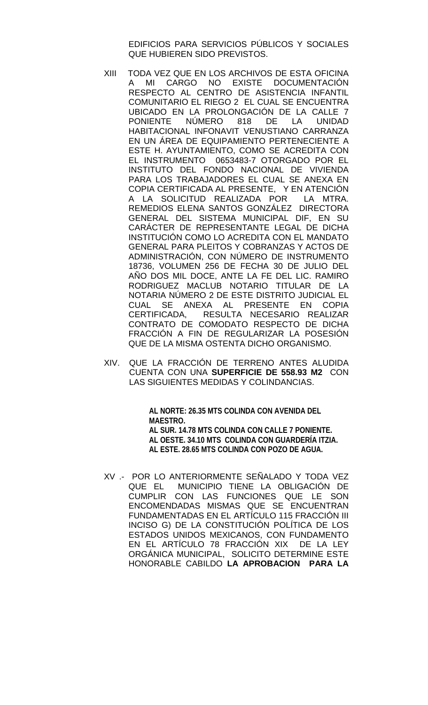EDIFICIOS PARA SERVICIOS PÚBLICOS Y SOCIALES QUE HUBIEREN SIDO PREVISTOS.

- XIII TODA VEZ QUE EN LOS ARCHIVOS DE ESTA OFICINA A MI CARGO NO EXISTE DOCUMENTACIÓN RESPECTO AL CENTRO DE ASISTENCIA INFANTIL COMUNITARIO EL RIEGO 2 EL CUAL SE ENCUENTRA UBICADO EN LA PROLONGACIÓN DE LA CALLE 7 PONIENTE NÚMERO 818 DE LA UNIDAD HABITACIONAL INFONAVIT VENUSTIANO CARRANZA EN UN ÁREA DE EQUIPAMIENTO PERTENECIENTE A ESTE H. AYUNTAMIENTO, COMO SE ACREDITA CON EL INSTRUMENTO 0653483-7 OTORGADO POR EL INSTITUTO DEL FONDO NACIONAL DE VIVIENDA PARA LOS TRABAJADORES EL CUAL SE ANEXA EN COPIA CERTIFICADA AL PRESENTE, Y EN ATENCIÓN A LA SOLICITUD REALIZADA POR LA MTRA. REMEDIOS ELENA SANTOS GONZÁLEZ DIRECTORA GENERAL DEL SISTEMA MUNICIPAL DIF, EN SU CARÁCTER DE REPRESENTANTE LEGAL DE DICHA INSTITUCIÓN COMO LO ACREDITA CON EL MANDATO GENERAL PARA PLEITOS Y COBRANZAS Y ACTOS DE ADMINISTRACIÓN, CON NÚMERO DE INSTRUMENTO 18736, VOLUMEN 256 DE FECHA 30 DE JULIO DEL AÑO DOS MIL DOCE, ANTE LA FE DEL LIC. RAMIRO RODRIGUEZ MACLUB NOTARIO TITULAR DE LA NOTARIA NÚMERO 2 DE ESTE DISTRITO JUDICIAL EL CUAL SE ANEXA AL PRESENTE EN COPIA<br>CERTIFICADA, RESULTA NECESARIO REALIZAR RESULTA NECESARIO REALIZAR CONTRATO DE COMODATO RESPECTO DE DICHA FRACCIÓN A FIN DE REGULARIZAR LA POSESIÓN QUE DE LA MISMA OSTENTA DICHO ORGANISMO.
- XIV. QUE LA FRACCIÓN DE TERRENO ANTES ALUDIDA CUENTA CON UNA **SUPERFICIE DE 558.93 M2** CON LAS SIGUIENTES MEDIDAS Y COLINDANCIAS.

**AL NORTE: 26.35 MTS COLINDA CON AVENIDA DEL MAESTRO. AL SUR. 14.78 MTS COLINDA CON CALLE 7 PONIENTE. AL OESTE. 34.10 MTS COLINDA CON GUARDERÍA ITZIA. AL ESTE. 28.65 MTS COLINDA CON POZO DE AGUA.**

XV .- POR LO ANTERIORMENTE SEÑALADO Y TODA VEZ QUE EL MUNICIPIO TIENE LA OBLIGACIÓN DE CUMPLIR CON LAS FUNCIONES QUE LE SON ENCOMENDADAS MISMAS QUE SE ENCUENTRAN FUNDAMENTADAS EN EL ARTÍCULO 115 FRACCIÓN III INCISO G) DE LA CONSTITUCIÓN POLÍTICA DE LOS ESTADOS UNIDOS MEXICANOS, CON FUNDAMENTO EN EL ARTÍCULO 78 FRACCIÓN XIX DE LA LEY ORGÁNICA MUNICIPAL, SOLICITO DETERMINE ESTE HONORABLE CABILDO **LA APROBACION PARA LA**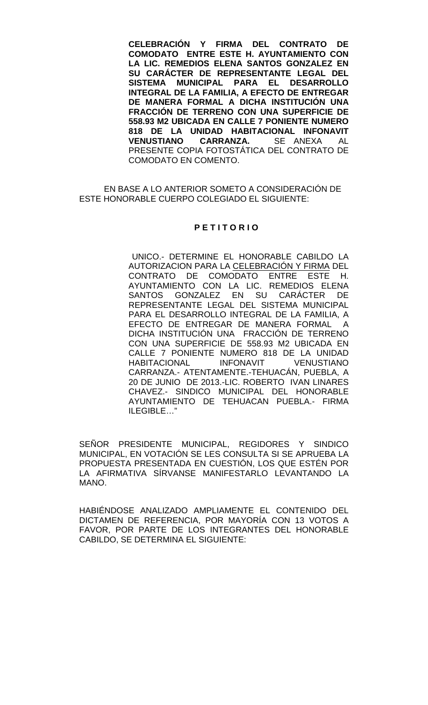**CELEBRACIÓN Y FIRMA DEL CONTRATO DE COMODATO ENTRE ESTE H. AYUNTAMIENTO CON LA LIC. REMEDIOS ELENA SANTOS GONZALEZ EN SU CARÁCTER DE REPRESENTANTE LEGAL DEL SISTEMA MUNICIPAL PARA EL DESARROLLO INTEGRAL DE LA FAMILIA, A EFECTO DE ENTREGAR DE MANERA FORMAL A DICHA INSTITUCIÓN UNA FRACCIÓN DE TERRENO CON UNA SUPERFICIE DE 558.93 M2 UBICADA EN CALLE 7 PONIENTE NUMERO 818 DE LA UNIDAD HABITACIONAL INFONAVIT VENUSTIANO CARRANZA.** SE ANEXA AL PRESENTE COPIA FOTOSTÁTICA DEL CONTRATO DE COMODATO EN COMENTO.

EN BASE A LO ANTERIOR SOMETO A CONSIDERACIÓN DE ESTE HONORABLE CUERPO COLEGIADO EL SIGUIENTE:

#### **P E T I T O R I O**

 UNICO.- DETERMINE EL HONORABLE CABILDO LA AUTORIZACION PARA LA CELEBRACIÓN Y FIRMA DEL CONTRATO DE COMODATO ENTRE ESTE H. AYUNTAMIENTO CON LA LIC. REMEDIOS ELENA SANTOS GONZALEZ EN SU CARÁCTER DE REPRESENTANTE LEGAL DEL SISTEMA MUNICIPAL PARA EL DESARROLLO INTEGRAL DE LA FAMILIA, A EFECTO DE ENTREGAR DE MANERA FORMAL A DICHA INSTITUCIÓN UNA FRACCIÓN DE TERRENO CON UNA SUPERFICIE DE 558.93 M2 UBICADA EN CALLE 7 PONIENTE NUMERO 818 DE LA UNIDAD<br>HABITACIONAL INFONAVIT VENUSTIANO **HABITACIONAL** CARRANZA.- ATENTAMENTE.-TEHUACÁN, PUEBLA, A 20 DE JUNIO DE 2013.-LIC. ROBERTO IVAN LINARES CHAVEZ.- SINDICO MUNICIPAL DEL HONORABLE AYUNTAMIENTO DE TEHUACAN PUEBLA.- FIRMA ILEGIBLE…"

SEÑOR PRESIDENTE MUNICIPAL, REGIDORES Y SINDICO MUNICIPAL, EN VOTACIÓN SE LES CONSULTA SI SE APRUEBA LA PROPUESTA PRESENTADA EN CUESTIÓN, LOS QUE ESTÉN POR LA AFIRMATIVA SÍRVANSE MANIFESTARLO LEVANTANDO LA MANO.

HABIÉNDOSE ANALIZADO AMPLIAMENTE EL CONTENIDO DEL DICTAMEN DE REFERENCIA, POR MAYORÍA CON 13 VOTOS A FAVOR, POR PARTE DE LOS INTEGRANTES DEL HONORABLE CABILDO, SE DETERMINA EL SIGUIENTE: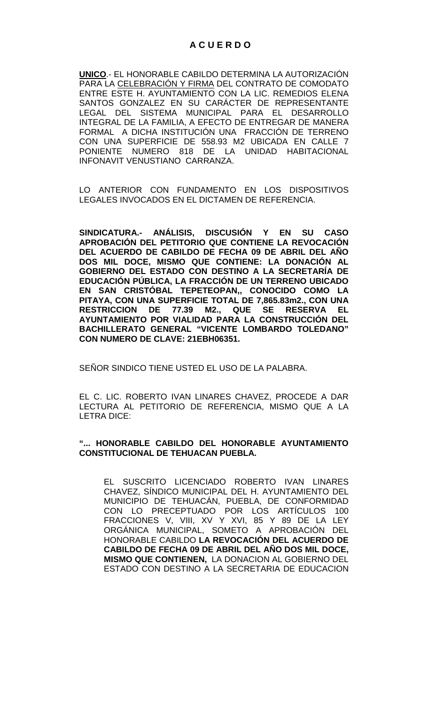**UNICO**.- EL HONORABLE CABILDO DETERMINA LA AUTORIZACIÓN PARA LA CELEBRACIÓN Y FIRMA DEL CONTRATO DE COMODATO ENTRE ESTE H. AYUNTAMIENTO CON LA LIC. REMEDIOS ELENA SANTOS GONZALEZ EN SU CARÁCTER DE REPRESENTANTE LEGAL DEL SISTEMA MUNICIPAL PARA EL DESARROLLO INTEGRAL DE LA FAMILIA, A EFECTO DE ENTREGAR DE MANERA FORMAL A DICHA INSTITUCIÓN UNA FRACCIÓN DE TERRENO CON UNA SUPERFICIE DE 558.93 M2 UBICADA EN CALLE 7 PONIENTE NUMERO 818 DE LA UNIDAD HABITACIONAL INFONAVIT VENUSTIANO CARRANZA.

LO ANTERIOR CON FUNDAMENTO EN LOS DISPOSITIVOS LEGALES INVOCADOS EN EL DICTAMEN DE REFERENCIA.

**SINDICATURA.- ANÁLISIS, DISCUSIÓN Y EN SU CASO APROBACIÓN DEL PETITORIO QUE CONTIENE LA REVOCACIÓN DEL ACUERDO DE CABILDO DE FECHA 09 DE ABRIL DEL AÑO DOS MIL DOCE, MISMO QUE CONTIENE: LA DONACIÓN AL GOBIERNO DEL ESTADO CON DESTINO A LA SECRETARÍA DE EDUCACIÓN PÚBLICA, LA FRACCIÓN DE UN TERRENO UBICADO EN SAN CRISTÓBAL TEPETEOPAN,, CONOCIDO COMO LA PITAYA, CON UNA SUPERFICIE TOTAL DE 7,865.83m2., CON UNA RESTRICCION DE 77.39 M2., QUE SE RESERVA EL AYUNTAMIENTO POR VIALIDAD PARA LA CONSTRUCCIÓN DEL BACHILLERATO GENERAL "VICENTE LOMBARDO TOLEDANO" CON NUMERO DE CLAVE: 21EBH06351.** 

SEÑOR SINDICO TIENE USTED EL USO DE LA PALABRA.

EL C. LIC. ROBERTO IVAN LINARES CHAVEZ, PROCEDE A DAR LECTURA AL PETITORIO DE REFERENCIA, MISMO QUE A LA LETRA DICE:

## **"... HONORABLE CABILDO DEL HONORABLE AYUNTAMIENTO CONSTITUCIONAL DE TEHUACAN PUEBLA.**

EL SUSCRITO LICENCIADO ROBERTO IVAN LINARES CHAVEZ, SÍNDICO MUNICIPAL DEL H. AYUNTAMIENTO DEL MUNICIPIO DE TEHUACÁN, PUEBLA, DE CONFORMIDAD CON LO PRECEPTUADO POR LOS ARTÍCULOS 100 FRACCIONES V, VIII, XV Y XVI, 85 Y 89 DE LA LEY ORGÁNICA MUNICIPAL, SOMETO A APROBACIÓN DEL HONORABLE CABILDO **LA REVOCACIÓN DEL ACUERDO DE CABILDO DE FECHA 09 DE ABRIL DEL AÑO DOS MIL DOCE, MISMO QUE CONTIENEN,** LA DONACION AL GOBIERNO DEL ESTADO CON DESTINO A LA SECRETARIA DE EDUCACION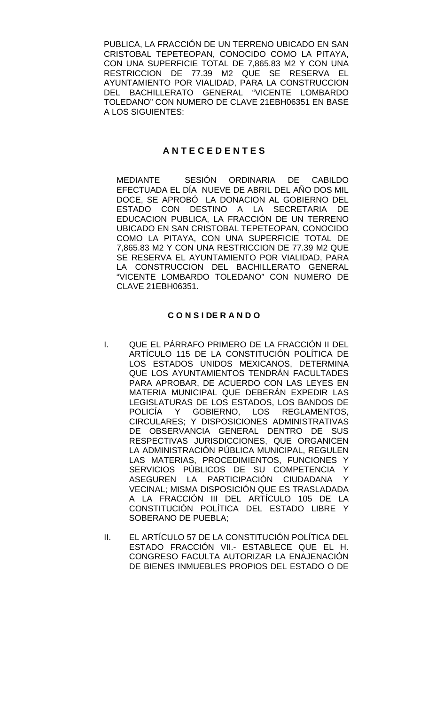PUBLICA, LA FRACCIÓN DE UN TERRENO UBICADO EN SAN CRISTOBAL TEPETEOPAN, CONOCIDO COMO LA PITAYA, CON UNA SUPERFICIE TOTAL DE 7,865.83 M2 Y CON UNA RESTRICCION DE 77.39 M2 QUE SE RESERVA EL AYUNTAMIENTO POR VIALIDAD, PARA LA CONSTRUCCION DEL BACHILLERATO GENERAL "VICENTE LOMBARDO TOLEDANO" CON NUMERO DE CLAVE 21EBH06351 EN BASE A LOS SIGUIENTES:

## **A N T E C E D E N T E S**

MEDIANTE SESIÓN ORDINARIA DE CABILDO EFECTUADA EL DÍA NUEVE DE ABRIL DEL AÑO DOS MIL DOCE, SE APROBÓ LA DONACION AL GOBIERNO DEL ESTADO CON DESTINO A LA SECRETARIA DE EDUCACION PUBLICA, LA FRACCIÓN DE UN TERRENO UBICADO EN SAN CRISTOBAL TEPETEOPAN, CONOCIDO COMO LA PITAYA, CON UNA SUPERFICIE TOTAL DE 7,865.83 M2 Y CON UNA RESTRICCION DE 77.39 M2 QUE SE RESERVA EL AYUNTAMIENTO POR VIALIDAD, PARA LA CONSTRUCCION DEL BACHILLERATO GENERAL "VICENTE LOMBARDO TOLEDANO" CON NUMERO DE CLAVE 21EBH06351.

### **C O N S I DE R A N D O**

- I. QUE EL PÁRRAFO PRIMERO DE LA FRACCIÓN II DEL ARTÍCULO 115 DE LA CONSTITUCIÓN POLÍTICA DE LOS ESTADOS UNIDOS MEXICANOS, DETERMINA QUE LOS AYUNTAMIENTOS TENDRÁN FACULTADES PARA APROBAR, DE ACUERDO CON LAS LEYES EN MATERIA MUNICIPAL QUE DEBERÁN EXPEDIR LAS LEGISLATURAS DE LOS ESTADOS, LOS BANDOS DE POLICÍA Y GOBIERNO, LOS REGLAMENTOS, CIRCULARES; Y DISPOSICIONES ADMINISTRATIVAS DE OBSERVANCIA GENERAL DENTRO DE SUS RESPECTIVAS JURISDICCIONES, QUE ORGANICEN LA ADMINISTRACIÓN PÚBLICA MUNICIPAL, REGULEN LAS MATERIAS, PROCEDIMIENTOS, FUNCIONES Y SERVICIOS PÚBLICOS DE SU COMPETENCIA Y<br>ASEGUREN LA PARTICIPACIÓN CIUDADANA Y ASEGUREN LA PARTICIPACIÓN CIUDADANA VECINAL; MISMA DISPOSICIÓN QUE ES TRASLADADA A LA FRACCIÓN III DEL ARTÍCULO 105 DE LA CONSTITUCIÓN POLÍTICA DEL ESTADO LIBRE Y SOBERANO DE PUEBLA;
- II. EL ARTÍCULO 57 DE LA CONSTITUCIÓN POLÍTICA DEL ESTADO FRACCIÓN VII.- ESTABLECE QUE EL H. CONGRESO FACULTA AUTORIZAR LA ENAJENACIÓN DE BIENES INMUEBLES PROPIOS DEL ESTADO O DE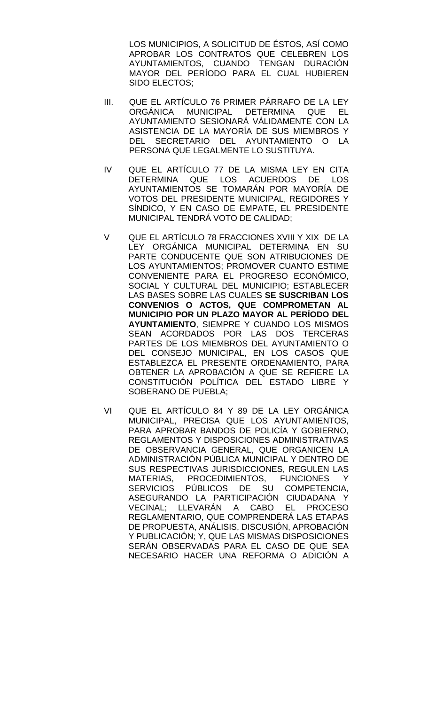LOS MUNICIPIOS, A SOLICITUD DE ÉSTOS, ASÍ COMO APROBAR LOS CONTRATOS QUE CELEBREN LOS AYUNTAMIENTOS, CUANDO TENGAN DURACIÓN MAYOR DEL PERÍODO PARA EL CUAL HUBIEREN SIDO ELECTOS;

- III. QUE EL ARTÍCULO 76 PRIMER PÁRRAFO DE LA LEY ORGÁNICA MUNICIPAL DETERMINA QUE EL AYUNTAMIENTO SESIONARÁ VÁLIDAMENTE CON LA ASISTENCIA DE LA MAYORÍA DE SUS MIEMBROS Y DEL SECRETARIO DEL AYUNTAMIENTO O LA PERSONA QUE LEGALMENTE LO SUSTITUYA.
- IV QUE EL ARTÍCULO 77 DE LA MISMA LEY EN CITA DETERMINA QUE LOS ACUERDOS DE LOS AYUNTAMIENTOS SE TOMARÁN POR MAYORÍA DE VOTOS DEL PRESIDENTE MUNICIPAL, REGIDORES Y SÍNDICO, Y EN CASO DE EMPATE, EL PRESIDENTE MUNICIPAL TENDRÁ VOTO DE CALIDAD;
- V QUE EL ARTÍCULO 78 FRACCIONES XVIII Y XIX DE LA LEY ORGÁNICA MUNICIPAL DETERMINA EN SU PARTE CONDUCENTE QUE SON ATRIBUCIONES DE LOS AYUNTAMIENTOS; PROMOVER CUANTO ESTIME CONVENIENTE PARA EL PROGRESO ECONÓMICO, SOCIAL Y CULTURAL DEL MUNICIPIO; ESTABLECER LAS BASES SOBRE LAS CUALES **SE SUSCRIBAN LOS CONVENIOS O ACTOS, QUE COMPROMETAN AL MUNICIPIO POR UN PLAZO MAYOR AL PERÍODO DEL AYUNTAMIENTO**, SIEMPRE Y CUANDO LOS MISMOS SEAN ACORDADOS POR LAS DOS TERCERAS PARTES DE LOS MIEMBROS DEL AYUNTAMIENTO O DEL CONSEJO MUNICIPAL, EN LOS CASOS QUE ESTABLEZCA EL PRESENTE ORDENAMIENTO, PARA OBTENER LA APROBACIÓN A QUE SE REFIERE LA CONSTITUCIÓN POLÍTICA DEL ESTADO LIBRE Y SOBERANO DE PUEBLA;
- VI QUE EL ARTÍCULO 84 Y 89 DE LA LEY ORGÁNICA MUNICIPAL, PRECISA QUE LOS AYUNTAMIENTOS, PARA APROBAR BANDOS DE POLICÍA Y GOBIERNO, REGLAMENTOS Y DISPOSICIONES ADMINISTRATIVAS DE OBSERVANCIA GENERAL, QUE ORGANICEN LA ADMINISTRACIÓN PÚBLICA MUNICIPAL Y DENTRO DE SUS RESPECTIVAS JURISDICCIONES, REGULEN LAS MATERIAS, PROCEDIMIENTOS, FUNCIONES Y SERVICIOS PÚBLICOS DE SU COMPETENCIA, ASEGURANDO LA PARTICIPACIÓN CIUDADANA Y VECINAL; LLEVARÁN A CABO EL PROCESO REGLAMENTARIO, QUE COMPRENDERÁ LAS ETAPAS DE PROPUESTA, ANÁLISIS, DISCUSIÓN, APROBACIÓN Y PUBLICACIÓN; Y, QUE LAS MISMAS DISPOSICIONES SERÁN OBSERVADAS PARA EL CASO DE QUE SEA NECESARIO HACER UNA REFORMA O ADICIÓN A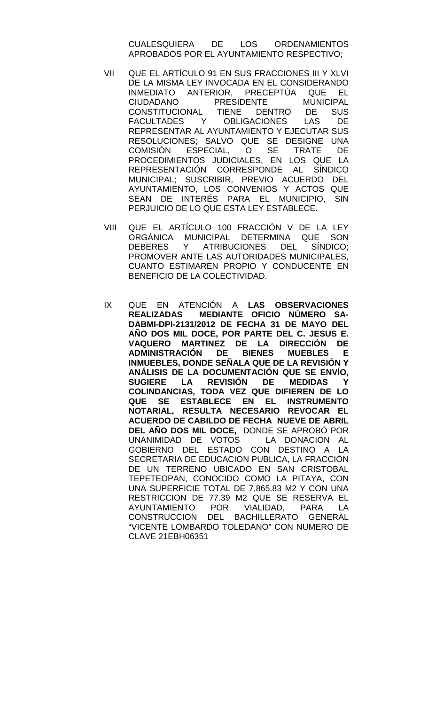CUALESQUIERA DE LOS ORDENAMIENTOS APROBADOS POR EL AYUNTAMIENTO RESPECTIVO;

- VII QUE EL ARTÍCULO 91 EN SUS FRACCIONES III Y XLVI DE LA MISMA LEY INVOCADA EN EL CONSIDERANDO INMEDIATO ANTERIOR, PRECEPTÚA QUE EL CIUDADANO PRESIDENTE<br>CONSTITUCIONAL TIENE DEI TIENE DENTRO DE SUS<br>OBLIGACIONES LAS DE FACULTADES Y OBLIGACIONES LAS DE REPRESENTAR AL AYUNTAMIENTO Y EJECUTAR SUS RESOLUCIONES; SALVO QUE SE DESIGNE UNA<br>COMISIÓN ESPECIAL. O SE TRATE DE COMISIÓN ESPECIAL, O SE TRATE DE PROCEDIMIENTOS JUDICIALES, EN LOS QUE LA REPRESENTACIÓN CORRESPONDE AL SÍNDICO MUNICIPAL; SUSCRIBIR, PREVIO ACUERDO DEL AYUNTAMIENTO, LOS CONVENIOS Y ACTOS QUE SEAN DE INTERÉS PARA EL MUNICIPIO, SIN PERJUICIO DE LO QUE ESTA LEY ESTABLECE.
- VIII QUE EL ARTÍCULO 100 FRACCIÓN V DE LA LEY ORGÁNICA MUNICIPAL DETERMINA QUE SON DEBERES Y ATRIBUCIONES DEL SÍNDICO; PROMOVER ANTE LAS AUTORIDADES MUNICIPALES, CUANTO ESTIMAREN PROPIO Y CONDUCENTE EN BENEFICIO DE LA COLECTIVIDAD.
- IX QUE EN ATENCIÓN A **LAS OBSERVACIONES REALIZADAS MEDIANTE OFICIO NÚMERO SA-DABMI-DPI-2131/2012 DE FECHA 31 DE MAYO DEL AÑO DOS MIL DOCE, POR PARTE DEL C. JESUS E. VAQUERO MARTINEZ DE LA DIRECCIÓN DE ADMINISTRACIÓN INMUEBLES, DONDE SEÑALA QUE DE LA REVISIÓN Y ANÁLISIS DE LA DOCUMENTACIÓN QUE SE ENVÍO, REVISIÓN DE COLINDANCIAS, TODA VEZ QUE DIFIEREN DE LO QUE SE ESTABLECE EN EL INSTRUMENTO NOTARIAL, RESULTA NECESARIO REVOCAR EL ACUERDO DE CABILDO DE FECHA NUEVE DE ABRIL DEL AÑO DOS MIL DOCE,** DONDE SE APROBÓ POR UNANIMIDAD DE VOTOS GOBIERNO DEL ESTADO CON DESTINO A LA SECRETARIA DE EDUCACION PUBLICA, LA FRACCIÓN DE UN TERRENO UBICADO EN SAN CRISTOBAL TEPETEOPAN, CONOCIDO COMO LA PITAYA, CON UNA SUPERFICIE TOTAL DE 7,865.83 M2 Y CON UNA RESTRICCION DE 77.39 M2 QUE SE RESERVA EL AYUNTAMIENTO POR VIALIDAD, PARA LA CONSTRUCCION DEL BACHILLERATO GENERAL "VICENTE LOMBARDO TOLEDANO" CON NUMERO DE CLAVE 21EBH06351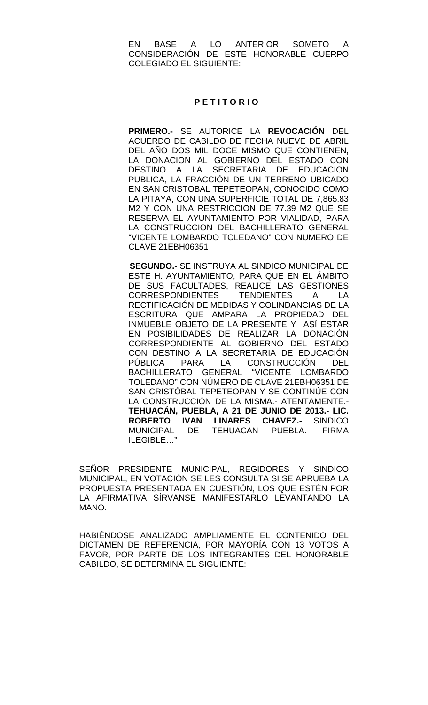EN BASE A LO ANTERIOR SOMETO A CONSIDERACIÓN DE ESTE HONORABLE CUERPO COLEGIADO EL SIGUIENTE:

#### **P E T I T O R I O**

**PRIMERO.-** SE AUTORICE LA **REVOCACIÓN** DEL ACUERDO DE CABILDO DE FECHA NUEVE DE ABRIL DEL AÑO DOS MIL DOCE MISMO QUE CONTIENEN**,**  LA DONACION AL GOBIERNO DEL ESTADO CON DESTINO A LA SECRETARIA DE EDUCACION PUBLICA, LA FRACCIÓN DE UN TERRENO UBICADO EN SAN CRISTOBAL TEPETEOPAN, CONOCIDO COMO LA PITAYA, CON UNA SUPERFICIE TOTAL DE 7,865.83 M2 Y CON UNA RESTRICCION DE 77.39 M2 QUE SE RESERVA EL AYUNTAMIENTO POR VIALIDAD, PARA LA CONSTRUCCION DEL BACHILLERATO GENERAL "VICENTE LOMBARDO TOLEDANO" CON NUMERO DE CLAVE 21EBH06351

 **SEGUNDO.-** SE INSTRUYA AL SINDICO MUNICIPAL DE ESTE H. AYUNTAMIENTO, PARA QUE EN EL ÁMBITO DE SUS FACULTADES, REALICE LAS GESTIONES CORRESPONDIENTES TENDIENTES A LA RECTIFICACIÓN DE MEDIDAS Y COLINDANCIAS DE LA ESCRITURA QUE AMPARA LA PROPIEDAD DEL INMUEBLE OBJETO DE LA PRESENTE Y ASÍ ESTAR EN POSIBILIDADES DE REALIZAR LA DONACIÓN CORRESPONDIENTE AL GOBIERNO DEL ESTADO CON DESTINO A LA SECRETARIA DE EDUCACIÓN PÚBLICA PARA LA CONSTRUCCIÓN DEL BACHILLERATO GENERAL "VICENTE LOMBARDO TOLEDANO" CON NÚMERO DE CLAVE 21EBH06351 DE SAN CRISTÓBAL TEPETEOPAN Y SE CONTINÚE CON LA CONSTRUCCIÓN DE LA MISMA.- ATENTAMENTE.- **TEHUACÁN, PUEBLA, A 21 DE JUNIO DE 2013.- LIC. ROBERTO IVAN LINARES CHAVEZ.-** SINDICO MUNICIPAL DE TEHUACAN PUEBLA.- FIRMA ILEGIBLE…"

SEÑOR PRESIDENTE MUNICIPAL, REGIDORES Y SINDICO MUNICIPAL, EN VOTACIÓN SE LES CONSULTA SI SE APRUEBA LA PROPUESTA PRESENTADA EN CUESTIÓN, LOS QUE ESTÉN POR LA AFIRMATIVA SÍRVANSE MANIFESTARLO LEVANTANDO LA MANO.

HABIÉNDOSE ANALIZADO AMPLIAMENTE EL CONTENIDO DEL DICTAMEN DE REFERENCIA, POR MAYORÍA CON 13 VOTOS A FAVOR, POR PARTE DE LOS INTEGRANTES DEL HONORABLE CABILDO, SE DETERMINA EL SIGUIENTE: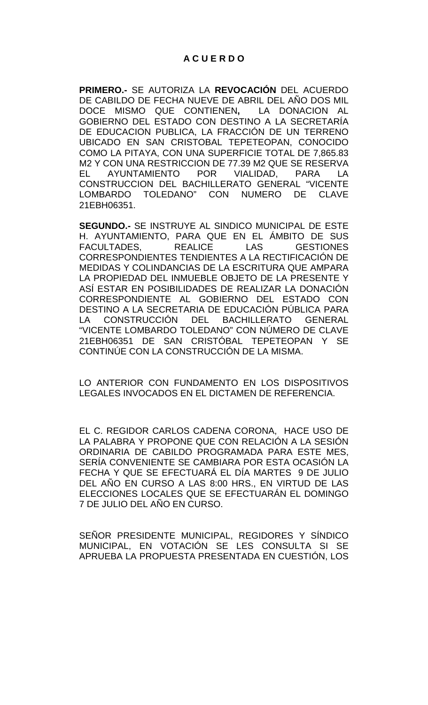# **A C U E R D O**

**PRIMERO.-** SE AUTORIZA LA **REVOCACIÓN** DEL ACUERDO DE CABILDO DE FECHA NUEVE DE ABRIL DEL AÑO DOS MIL DOCE MISMO QUE CONTIENEN**,** LA DONACION AL GOBIERNO DEL ESTADO CON DESTINO A LA SECRETARÍA DE EDUCACION PUBLICA, LA FRACCIÓN DE UN TERRENO UBICADO EN SAN CRISTOBAL TEPETEOPAN, CONOCIDO COMO LA PITAYA, CON UNA SUPERFICIE TOTAL DE 7,865.83 M2 Y CON UNA RESTRICCION DE 77.39 M2 QUE SE RESERVA EL AYUNTAMIENTO POR VIALIDAD, PARA LA CONSTRUCCION DEL BACHILLERATO GENERAL "VICENTE LOMBARDO TOLEDANO" CON NUMERO DE CLAVE 21EBH06351.

**SEGUNDO.-** SE INSTRUYE AL SINDICO MUNICIPAL DE ESTE H. AYUNTAMIENTO, PARA QUE EN EL ÁMBITO DE SUS FACULTADES, REALICE LAS GESTIONES CORRESPONDIENTES TENDIENTES A LA RECTIFICACIÓN DE MEDIDAS Y COLINDANCIAS DE LA ESCRITURA QUE AMPARA LA PROPIEDAD DEL INMUEBLE OBJETO DE LA PRESENTE Y ASÍ ESTAR EN POSIBILIDADES DE REALIZAR LA DONACIÓN CORRESPONDIENTE AL GOBIERNO DEL ESTADO CON DESTINO A LA SECRETARIA DE EDUCACIÓN PÚBLICA PARA LA CONSTRUCCIÓN DEL BACHILLERATO GENERAL "VICENTE LOMBARDO TOLEDANO" CON NÚMERO DE CLAVE 21EBH06351 DE SAN CRISTÓBAL TEPETEOPAN Y SE CONTINÚE CON LA CONSTRUCCIÓN DE LA MISMA.

LO ANTERIOR CON FUNDAMENTO EN LOS DISPOSITIVOS LEGALES INVOCADOS EN EL DICTAMEN DE REFERENCIA.

EL C. REGIDOR CARLOS CADENA CORONA, HACE USO DE LA PALABRA Y PROPONE QUE CON RELACIÓN A LA SESIÓN ORDINARIA DE CABILDO PROGRAMADA PARA ESTE MES, SERÍA CONVENIENTE SE CAMBIARA POR ESTA OCASIÓN LA FECHA Y QUE SE EFECTUARÁ EL DÍA MARTES 9 DE JULIO DEL AÑO EN CURSO A LAS 8:00 HRS., EN VIRTUD DE LAS ELECCIONES LOCALES QUE SE EFECTUARÁN EL DOMINGO 7 DE JULIO DEL AÑO EN CURSO.

SEÑOR PRESIDENTE MUNICIPAL, REGIDORES Y SÍNDICO MUNICIPAL, EN VOTACIÓN SE LES CONSULTA SI SE APRUEBA LA PROPUESTA PRESENTADA EN CUESTIÓN, LOS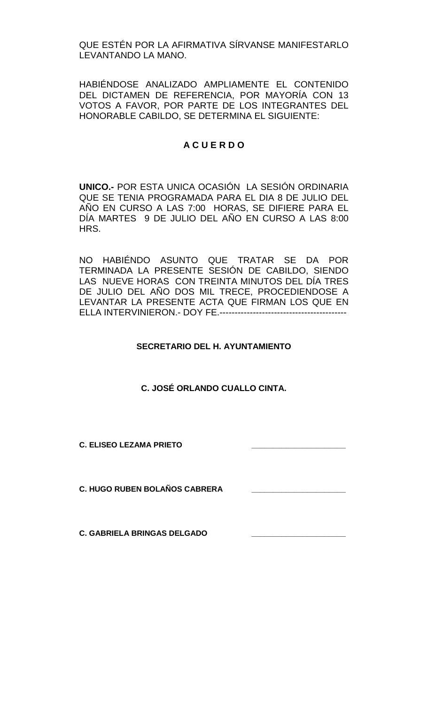QUE ESTÉN POR LA AFIRMATIVA SÍRVANSE MANIFESTARLO LEVANTANDO LA MANO.

HABIÉNDOSE ANALIZADO AMPLIAMENTE EL CONTENIDO DEL DICTAMEN DE REFERENCIA, POR MAYORÍA CON 13 VOTOS A FAVOR, POR PARTE DE LOS INTEGRANTES DEL HONORABLE CABILDO, SE DETERMINA EL SIGUIENTE:

# **A C U E R D O**

**UNICO.-** POR ESTA UNICA OCASIÓN LA SESIÓN ORDINARIA QUE SE TENIA PROGRAMADA PARA EL DIA 8 DE JULIO DEL AÑO EN CURSO A LAS 7:00 HORAS, SE DIFIERE PARA EL DÍA MARTES 9 DE JULIO DEL AÑO EN CURSO A LAS 8:00 HRS.

NO HABIÉNDO ASUNTO QUE TRATAR SE DA POR TERMINADA LA PRESENTE SESIÓN DE CABILDO, SIENDO LAS NUEVE HORAS CON TREINTA MINUTOS DEL DÍA TRES DE JULIO DEL AÑO DOS MIL TRECE, PROCEDIENDOSE A LEVANTAR LA PRESENTE ACTA QUE FIRMAN LOS QUE EN ELLA INTERVINIERON.- DOY FE.------------------------------------------

# **SECRETARIO DEL H. AYUNTAMIENTO**

**C. JOSÉ ORLANDO CUALLO CINTA.**

**C. ELISEO LEZAMA PRIETO \_\_\_\_\_\_\_\_\_\_\_\_\_\_\_\_\_\_\_\_\_\_**

**C. HUGO RUBEN BOLAÑOS CABRERA \_\_\_\_\_\_\_\_\_\_\_\_\_\_\_\_\_\_\_\_\_\_**

**C. GABRIELA BRINGAS DELGADO**